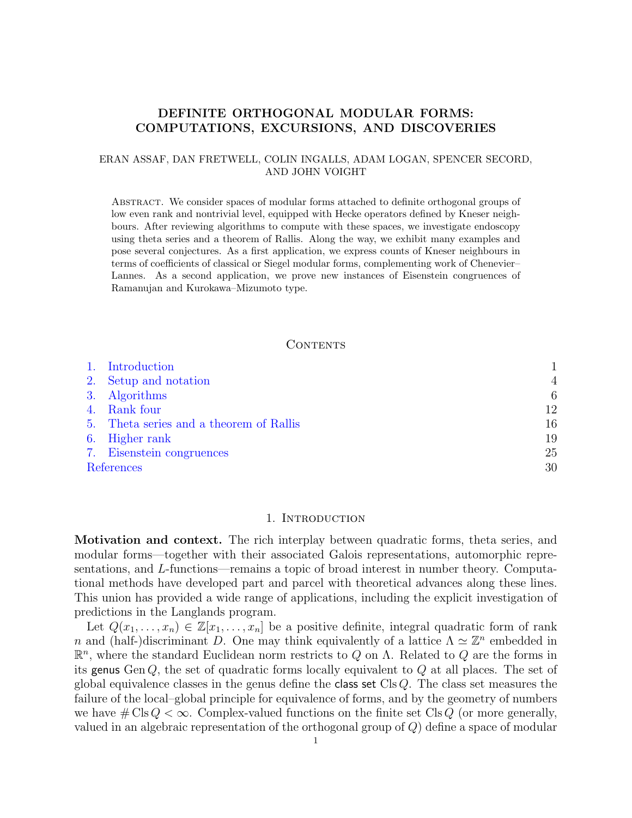# DEFINITE ORTHOGONAL MODULAR FORMS: COMPUTATIONS, EXCURSIONS, AND DISCOVERIES

## ERAN ASSAF, DAN FRETWELL, COLIN INGALLS, ADAM LOGAN, SPENCER SECORD, AND JOHN VOIGHT

Abstract. We consider spaces of modular forms attached to definite orthogonal groups of low even rank and nontrivial level, equipped with Hecke operators defined by Kneser neighbours. After reviewing algorithms to compute with these spaces, we investigate endoscopy using theta series and a theorem of Rallis. Along the way, we exhibit many examples and pose several conjectures. As a first application, we express counts of Kneser neighbours in terms of coefficients of classical or Siegel modular forms, complementing work of Chenevier– Lannes. As a second application, we prove new instances of Eisenstein congruences of Ramanujan and Kurokawa–Mizumoto type.

#### CONTENTS

| 1. Introduction                         |                |
|-----------------------------------------|----------------|
| 2. Setup and notation                   | $\overline{4}$ |
| 3. Algorithms                           | 6              |
| 4. Rank four                            | 12             |
| 5. Theta series and a theorem of Rallis | 16             |
| 6. Higher rank                          | 19             |
| 7. Eisenstein congruences               | 25             |
| References                              | 30             |

### 1. INTRODUCTION

<span id="page-0-0"></span>Motivation and context. The rich interplay between quadratic forms, theta series, and modular forms—together with their associated Galois representations, automorphic representations, and L-functions—remains a topic of broad interest in number theory. Computational methods have developed part and parcel with theoretical advances along these lines. This union has provided a wide range of applications, including the explicit investigation of predictions in the Langlands program.

Let  $Q(x_1, \ldots, x_n) \in \mathbb{Z}[x_1, \ldots, x_n]$  be a positive definite, integral quadratic form of rank n and (half-)discriminant D. One may think equivalently of a lattice  $\Lambda \simeq \mathbb{Z}^n$  embedded in  $\mathbb{R}^n$ , where the standard Euclidean norm restricts to Q on  $\Lambda$ . Related to Q are the forms in its genus Gen  $Q$ , the set of quadratic forms locally equivalent to  $Q$  at all places. The set of global equivalence classes in the genus define the class set Cls  $Q$ . The class set measures the failure of the local–global principle for equivalence of forms, and by the geometry of numbers we have  $\# \text{Cls } Q < \infty$ . Complex-valued functions on the finite set Cls Q (or more generally, valued in an algebraic representation of the orthogonal group of Q) define a space of modular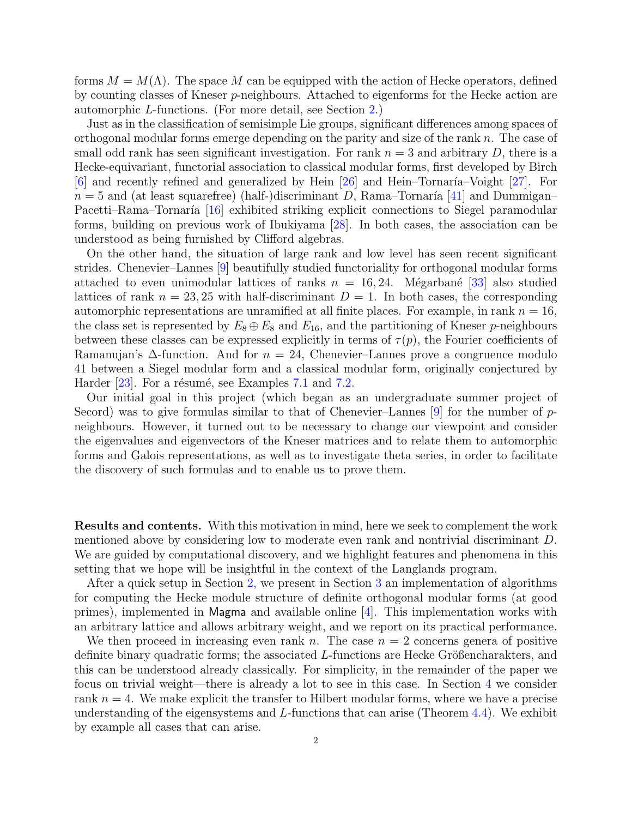forms  $M = M(\Lambda)$ . The space M can be equipped with the action of Hecke operators, defined by counting classes of Kneser p-neighbours. Attached to eigenforms for the Hecke action are automorphic L-functions. (For more detail, see Section [2.](#page-3-0))

Just as in the classification of semisimple Lie groups, significant differences among spaces of orthogonal modular forms emerge depending on the parity and size of the rank  $n$ . The case of small odd rank has seen significant investigation. For rank  $n = 3$  and arbitrary D, there is a Hecke-equivariant, functorial association to classical modular forms, first developed by Birch  $[6]$  and recently refined and generalized by Hein  $[26]$  and Hein–Tornaría–Voight  $[27]$ . For  $n = 5$  and (at least squarefree) (half-)discriminant D, Rama–Tornaría [\[41\]](#page-30-2) and Dummigan– Pacetti–Rama–Tornaría [\[16\]](#page-29-2) exhibited striking explicit connections to Siegel paramodular forms, building on previous work of Ibukiyama [\[28\]](#page-30-3). In both cases, the association can be understood as being furnished by Clifford algebras.

On the other hand, the situation of large rank and low level has seen recent significant strides. Chenevier–Lannes [\[9\]](#page-29-3) beautifully studied functoriality for orthogonal modular forms attached to even unimodular lattices of ranks  $n = 16, 24$ . Mégarbané [\[33\]](#page-30-4) also studied lattices of rank  $n = 23, 25$  with half-discriminant  $D = 1$ . In both cases, the corresponding automorphic representations are unramified at all finite places. For example, in rank  $n = 16$ , the class set is represented by  $E_8 \oplus E_8$  and  $E_{16}$ , and the partitioning of Kneser p-neighbours between these classes can be expressed explicitly in terms of  $\tau(p)$ , the Fourier coefficients of Ramanujan's  $\Delta$ -function. And for  $n = 24$ , Chenevier–Lannes prove a congruence modulo 41 between a Siegel modular form and a classical modular form, originally conjectured by Harder  $[23]$ . For a résumé, see Examples [7.1](#page-25-0) and [7.2.](#page-26-0)

Our initial goal in this project (which began as an undergraduate summer project of Secord) was to give formulas similar to that of Chenevier–Lannes  $[9]$  for the number of pneighbours. However, it turned out to be necessary to change our viewpoint and consider the eigenvalues and eigenvectors of the Kneser matrices and to relate them to automorphic forms and Galois representations, as well as to investigate theta series, in order to facilitate the discovery of such formulas and to enable us to prove them.

Results and contents. With this motivation in mind, here we seek to complement the work mentioned above by considering low to moderate even rank and nontrivial discriminant D. We are guided by computational discovery, and we highlight features and phenomena in this setting that we hope will be insightful in the context of the Langlands program.

After a quick setup in Section [2,](#page-3-0) we present in Section [3](#page-5-0) an implementation of algorithms for computing the Hecke module structure of definite orthogonal modular forms (at good primes), implemented in Magma and available online [\[4\]](#page-29-5). This implementation works with an arbitrary lattice and allows arbitrary weight, and we report on its practical performance.

We then proceed in increasing even rank n. The case  $n = 2$  concerns genera of positive definite binary quadratic forms; the associated  $L$ -functions are Hecke Größencharakters, and this can be understood already classically. For simplicity, in the remainder of the paper we focus on trivial weight—there is already a lot to see in this case. In Section [4](#page-11-0) we consider rank  $n = 4$ . We make explicit the transfer to Hilbert modular forms, where we have a precise understanding of the eigensystems and  $L$ -functions that can arise (Theorem [4.4\)](#page-12-0). We exhibit by example all cases that can arise.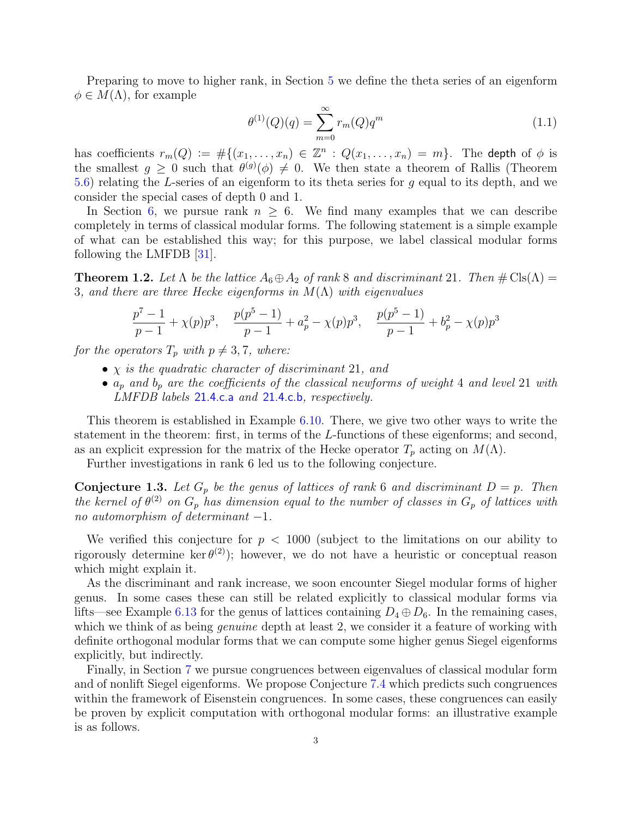Preparing to move to higher rank, in Section [5](#page-15-0) we define the theta series of an eigenform  $\phi \in M(\Lambda)$ , for example

<span id="page-2-0"></span>
$$
\theta^{(1)}(Q)(q) = \sum_{m=0}^{\infty} r_m(Q)q^m \tag{1.1}
$$

has coefficients  $r_m(Q) := \#\{(x_1, \ldots, x_n) \in \mathbb{Z}^n : Q(x_1, \ldots, x_n) = m\}.$  The depth of  $\phi$  is the smallest  $g \geq 0$  such that  $\theta^{(g)}(\phi) \neq 0$ . We then state a theorem of Rallis (Theorem [5.6\)](#page-16-0) relating the L-series of an eigenform to its theta series for g equal to its depth, and we consider the special cases of depth 0 and 1.

In Section [6,](#page-18-0) we pursue rank  $n \geq 6$ . We find many examples that we can describe completely in terms of classical modular forms. The following statement is a simple example of what can be established this way; for this purpose, we label classical modular forms following the LMFDB [\[31\]](#page-30-5).

**Theorem 1.2.** Let  $\Lambda$  be the lattice  $A_6 \oplus A_2$  of rank 8 and discriminant 21. Then  $\#\text{Cls}(\Lambda) =$ 3, and there are three Hecke eigenforms in  $M(\Lambda)$  with eigenvalues

$$
\frac{p^{7}-1}{p-1} + \chi(p)p^{3}, \quad \frac{p(p^{5}-1)}{p-1} + a_{p}^{2} - \chi(p)p^{3}, \quad \frac{p(p^{5}-1)}{p-1} + b_{p}^{2} - \chi(p)p^{3}
$$

for the operators  $T_p$  with  $p \neq 3, 7$ , where:

- $\chi$  is the quadratic character of discriminant 21, and
- $a_p$  and  $b_p$  are the coefficients of the classical newforms of weight 4 and level 21 with LMFDB labels [21.4.c.a](https://www.lmfdb.org/ModularForm/GL2/Q/holomorphic/21/4/c/a/) and [21.4.c.b](https://www.lmfdb.org/ModularForm/GL2/Q/holomorphic/21/4/c/b/), respectively.

This theorem is established in Example [6.10.](#page-21-0) There, we give two other ways to write the statement in the theorem: first, in terms of the L-functions of these eigenforms; and second, as an explicit expression for the matrix of the Hecke operator  $T_p$  acting on  $M(\Lambda)$ .

Further investigations in rank 6 led us to the following conjecture.

<span id="page-2-1"></span>**Conjecture 1.3.** Let  $G_p$  be the genus of lattices of rank 6 and discriminant  $D = p$ . Then the kernel of  $\theta^{(2)}$  on  $G_p$  has dimension equal to the number of classes in  $G_p$  of lattices with no automorphism of determinant  $-1$ .

We verified this conjecture for  $p < 1000$  (subject to the limitations on our ability to rigorously determine ker $\theta^{(2)}$ ; however, we do not have a heuristic or conceptual reason which might explain it.

As the discriminant and rank increase, we soon encounter Siegel modular forms of higher genus. In some cases these can still be related explicitly to classical modular forms via lifts—see Example [6.13](#page-23-0) for the genus of lattices containing  $D_4 \oplus D_6$ . In the remaining cases, which we think of as being *genuine* depth at least 2, we consider it a feature of working with definite orthogonal modular forms that we can compute some higher genus Siegel eigenforms explicitly, but indirectly.

Finally, in Section [7](#page-24-0) we pursue congruences between eigenvalues of classical modular form and of nonlift Siegel eigenforms. We propose Conjecture [7.4](#page-27-0) which predicts such congruences within the framework of Eisenstein congruences. In some cases, these congruences can easily be proven by explicit computation with orthogonal modular forms: an illustrative example is as follows.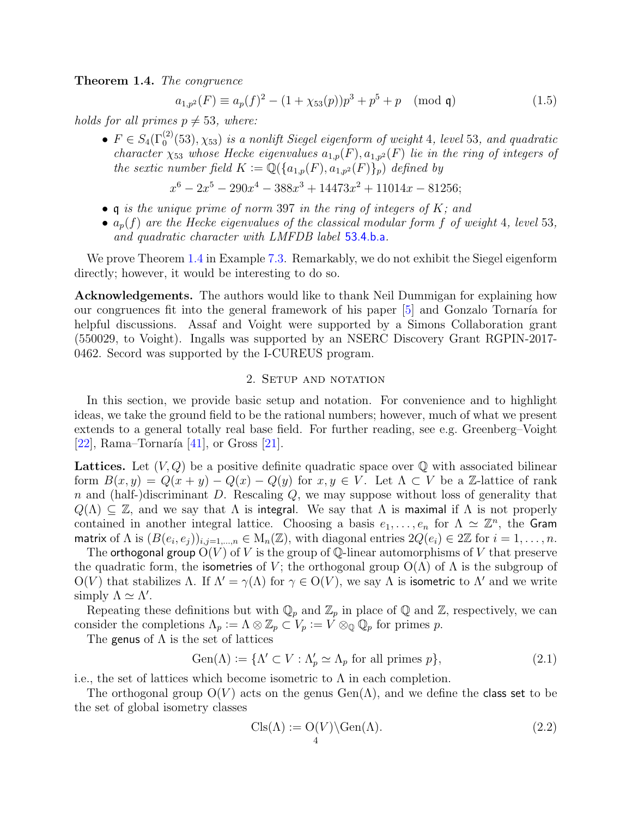<span id="page-3-1"></span>Theorem 1.4. The congruence

$$
a_{1,p^2}(F) \equiv a_p(f)^2 - (1 + \chi_{53}(p))p^3 + p^5 + p \pmod{\mathfrak{q}}
$$
\n(1.5)

holds for all primes  $p \neq 53$ , where:

•  $F \in S_4(\Gamma_0^{(2)}(53), \chi_{53})$  is a nonlift Siegel eigenform of weight 4, level 53, and quadratic character  $\chi_{53}$  whose Hecke eigenvalues  $a_{1,p}(F), a_{1,p^2}(F)$  lie in the ring of integers of the sextic number field  $K := \mathbb{Q}(\{a_{1,p}(F), a_{1,p^2}(F)\})$  defined by

$$
x^{6}-2x^{5}-290x^{4}-388x^{3}+14473x^{2}+11014x-81256;
$$

- q is the unique prime of norm 397 in the ring of integers of  $K$ ; and
- $a_p(f)$  are the Hecke eigenvalues of the classical modular form f of weight 4, level 53, and quadratic character with LMFDB label [53.4.b.a](https://www.lmfdb.org/ModularForm/GL2/Q/holomorphic/53/4/b/a/).

We prove Theorem [1.4](#page-3-1) in Example [7.3.](#page-26-1) Remarkably, we do not exhibit the Siegel eigenform directly; however, it would be interesting to do so.

Acknowledgements. The authors would like to thank Neil Dummigan for explaining how our congruences fit into the general framework of his paper  $[5]$  and Gonzalo Tornaría for helpful discussions. Assaf and Voight were supported by a Simons Collaboration grant (550029, to Voight). Ingalls was supported by an NSERC Discovery Grant RGPIN-2017- 0462. Secord was supported by the I-CUREUS program.

## 2. Setup and notation

<span id="page-3-0"></span>In this section, we provide basic setup and notation. For convenience and to highlight ideas, we take the ground field to be the rational numbers; however, much of what we present extends to a general totally real base field. For further reading, see e.g. Greenberg–Voight [\[22\]](#page-29-7), Rama–Tornaría  $[41]$ , or Gross  $[21]$ .

**Lattices.** Let  $(V, Q)$  be a positive definite quadratic space over  $Q$  with associated bilinear form  $B(x, y) = Q(x + y) - Q(x) - Q(y)$  for  $x, y \in V$ . Let  $\Lambda \subset V$  be a Z-lattice of rank n and (half-)discriminant D. Rescaling  $Q$ , we may suppose without loss of generality that  $Q(\Lambda) \subseteq \mathbb{Z}$ , and we say that  $\Lambda$  is integral. We say that  $\Lambda$  is maximal if  $\Lambda$  is not properly contained in another integral lattice. Choosing a basis  $e_1, \ldots, e_n$  for  $\Lambda \simeq \mathbb{Z}^n$ , the Gram matrix of  $\Lambda$  is  $(B(e_i, e_j))_{i,j=1,\dots,n} \in M_n(\mathbb{Z})$ , with diagonal entries  $2Q(e_i) \in 2\mathbb{Z}$  for  $i = 1,\dots,n$ .

The orthogonal group  $O(V)$  of V is the group of Q-linear automorphisms of V that preserve the quadratic form, the isometries of V; the orthogonal group  $O(\Lambda)$  of  $\Lambda$  is the subgroup of  $O(V)$  that stabilizes  $\Lambda$ . If  $\Lambda' = \gamma(\Lambda)$  for  $\gamma \in O(V)$ , we say  $\Lambda$  is isometric to  $\Lambda'$  and we write simply  $\Lambda \simeq \Lambda'$ .

Repeating these definitions but with  $\mathbb{Q}_p$  and  $\mathbb{Z}_p$  in place of  $\mathbb Q$  and  $\mathbb Z$ , respectively, we can consider the completions  $\Lambda_p := \Lambda \otimes \mathbb{Z}_p \subset V_p := V \otimes_{\mathbb{Q}} \mathbb{Q}_p$  for primes p.

The genus of  $\Lambda$  is the set of lattices

Gen(
$$
\Lambda
$$
) := { $\Lambda' \subset V : \Lambda'_p \simeq \Lambda_p$  for all primes  $p$ }, (2.1)

i.e., the set of lattices which become isometric to  $\Lambda$  in each completion.

The orthogonal group  $O(V)$  acts on the genus  $Gen(\Lambda)$ , and we define the class set to be the set of global isometry classes

$$
\text{Cls}(\Lambda) := \mathcal{O}(V) \backslash \text{Gen}(\Lambda). \tag{2.2}
$$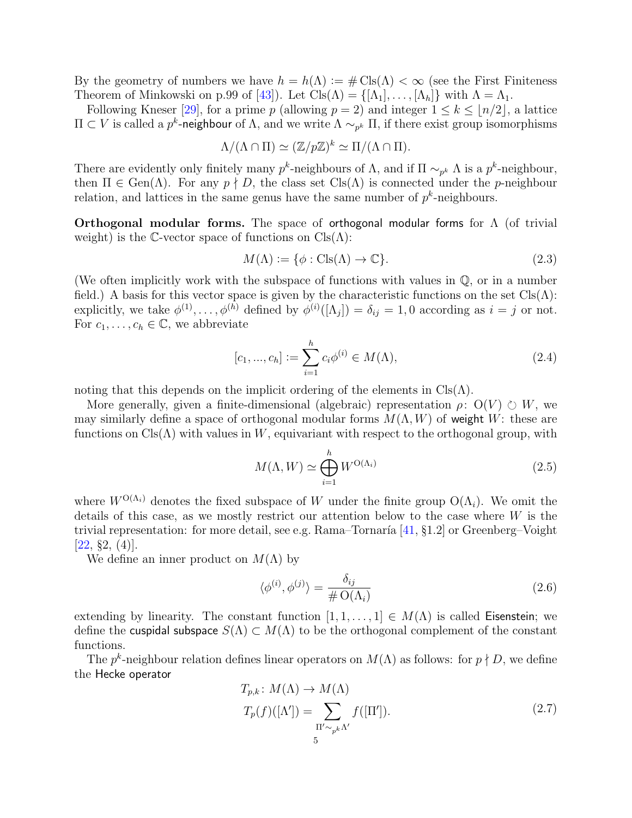By the geometry of numbers we have  $h = h(\Lambda) := \# \text{Cls}(\Lambda) < \infty$  (see the First Finiteness Theorem of Minkowski on p.99 of [\[43\]](#page-30-6)). Let  $\text{Cls}(\Lambda) = \{[\Lambda_1], \ldots, [\Lambda_h]\}\$  with  $\Lambda = \Lambda_1$ .

Following Kneser [\[29\]](#page-30-7), for a prime p (allowing  $p = 2$ ) and integer  $1 \leq k \leq \lfloor n/2 \rfloor$ , a lattice  $\Pi \subset V$  is called a p<sup>k</sup>-neighbour of Λ, and we write  $\Lambda \sim_{p^k} \Pi$ , if there exist group isomorphisms

$$
\Lambda/(\Lambda\cap\Pi)\simeq (\mathbb{Z}/p\mathbb{Z})^k\simeq \Pi/(\Lambda\cap\Pi).
$$

There are evidently only finitely many  $p^k$ -neighbours of  $\Lambda$ , and if  $\Pi \sim_{p^k} \Lambda$  is a  $p^k$ -neighbour, then  $\Pi \in \text{Gen}(\Lambda)$ . For any  $p \nmid D$ , the class set  $\text{Cls}(\Lambda)$  is connected under the p-neighbour relation, and lattices in the same genus have the same number of  $p^k$ -neighbours.

**Orthogonal modular forms.** The space of orthogonal modular forms for  $\Lambda$  (of trivial weight) is the C-vector space of functions on  $\text{Cls}(\Lambda)$ :

$$
M(\Lambda) := \{ \phi : \text{Cls}(\Lambda) \to \mathbb{C} \}. \tag{2.3}
$$

(We often implicitly work with the subspace of functions with values in Q, or in a number field.) A basis for this vector space is given by the characteristic functions on the set  $\text{Cls}(\Lambda)$ : explicitly, we take  $\phi^{(1)}, \ldots, \phi^{(h)}$  defined by  $\phi^{(i)}([\Lambda_j]) = \delta_{ij} = 1, 0$  according as  $i = j$  or not. For  $c_1, \ldots, c_h \in \mathbb{C}$ , we abbreviate

$$
[c_1, ..., c_h] := \sum_{i=1}^h c_i \phi^{(i)} \in M(\Lambda), \tag{2.4}
$$

noting that this depends on the implicit ordering of the elements in  $\text{Cls}(\Lambda)$ .

More generally, given a finite-dimensional (algebraic) representation  $\rho: O(V) \circ W$ , we may similarly define a space of orthogonal modular forms  $M(\Lambda, W)$  of weight W: these are functions on  $Cls(\Lambda)$  with values in W, equivariant with respect to the orthogonal group, with

<span id="page-4-1"></span>
$$
M(\Lambda, W) \simeq \bigoplus_{i=1}^{h} W^{\mathcal{O}(\Lambda_i)}
$$
\n(2.5)

where  $W^{O(\Lambda_i)}$  denotes the fixed subspace of W under the finite group  $O(\Lambda_i)$ . We omit the details of this case, as we mostly restrict our attention below to the case where W is the trivial representation: for more detail, see e.g. Rama–Tornaría  $[41, §1.2]$  or Greenberg–Voight  $[22, §2, (4)].$  $[22, §2, (4)].$ 

We define an inner product on  $M(\Lambda)$  by

<span id="page-4-0"></span>
$$
\langle \phi^{(i)}, \phi^{(j)} \rangle = \frac{\delta_{ij}}{\# \mathcal{O}(\Lambda_i)} \tag{2.6}
$$

extending by linearity. The constant function  $[1, 1, \ldots, 1] \in M(\Lambda)$  is called Eisenstein; we define the cuspidal subspace  $S(\Lambda) \subset M(\Lambda)$  to be the orthogonal complement of the constant functions.

The  $p^k$ -neighbour relation defines linear operators on  $M(\Lambda)$  as follows: for  $p \nmid D$ , we define the Hecke operator

<span id="page-4-2"></span>
$$
T_{p,k}: M(\Lambda) \to M(\Lambda)
$$
  
\n
$$
T_p(f)([\Lambda']) = \sum_{\Pi' \sim_{p^k} \Lambda'} f([\Pi']).
$$
\n(2.7)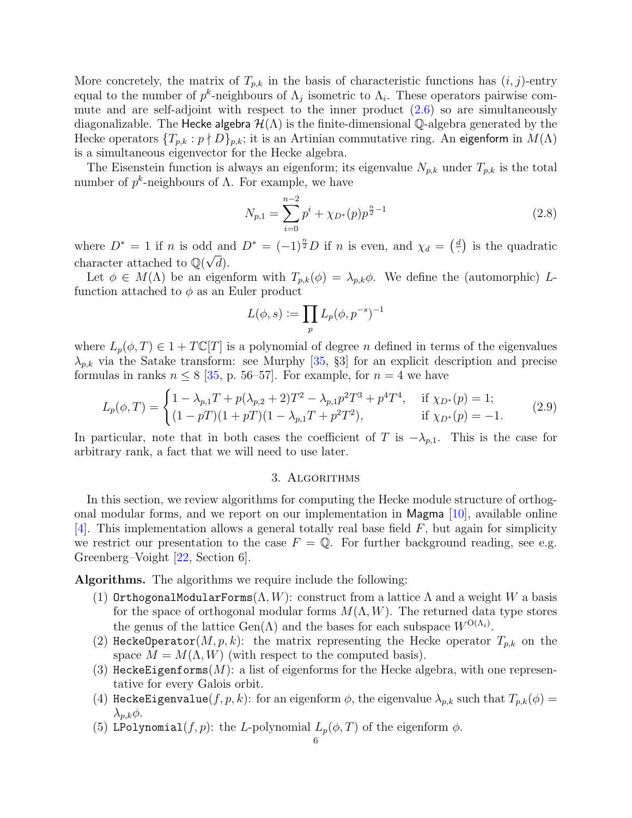More concretely, the matrix of  $T_{p,k}$  in the basis of characteristic functions has  $(i, j)$ -entry equal to the number of  $p^k$ -neighbours of  $\Lambda_j$  isometric to  $\Lambda_i$ . These operators pairwise commute and are self-adjoint with respect to the inner product  $(2.6)$  so are simultaneously diagonalizable. The Hecke algebra  $\mathcal{H}(\Lambda)$  is the finite-dimensional Q-algebra generated by the Hecke operators  $\{T_{p,k} : p \nmid D\}_{p,k}$ ; it is an Artinian commutative ring. An eigenform in  $M(\Lambda)$ is a simultaneous eigenvector for the Hecke algebra.

The Eisenstein function is always an eigenform; its eigenvalue  $N_{p,k}$  under  $T_{p,k}$  is the total number of  $p^k$ -neighbours of  $\Lambda$ . For example, we have

$$
N_{p,1} = \sum_{i=0}^{n-2} p^i + \chi_{D^*}(p) p^{\frac{n}{2}-1}
$$
\n(2.8)

where  $D^* = 1$  if n is odd and  $D^* = (-1)^{\frac{n}{2}}D$  if n is even, and  $\chi_d = \left(\frac{d}{dx}\right)^{\frac{n}{2}}$ d and  $D^* = (-1)^{\frac{n}{2}} D$  if *n* is even, and  $\chi_d = \begin{pmatrix} \frac{d}{2} \end{pmatrix}$  is the quadratic character attached to  $\mathbb{Q}(\sqrt{d})$ .

Let  $\phi \in M(\Lambda)$  be an eigenform with  $T_{p,k}(\phi) = \lambda_{p,k}\phi$ . We define the (automorphic) Lfunction attached to  $\phi$  as an Euler product

$$
L(\phi,s):=\prod_p L_p(\phi,p^{-s})^{-1}
$$

where  $L_p(\phi, T) \in 1 + T\mathbb{C}[T]$  is a polynomial of degree *n* defined in terms of the eigenvalues  $\lambda_{p,k}$  via the Satake transform: see Murphy [\[35,](#page-30-8) §3] for an explicit description and precise formulas in ranks  $n \leq 8$  [\[35,](#page-30-8) p. 56–57]. For example, for  $n = 4$  we have

$$
L_p(\phi, T) = \begin{cases} 1 - \lambda_{p,1} T + p(\lambda_{p,2} + 2)T^2 - \lambda_{p,1} p^2 T^3 + p^4 T^4, & \text{if } \chi_{D^*}(p) = 1; \\ (1 - pT)(1 + pT)(1 - \lambda_{p,1} T + p^2 T^2), & \text{if } \chi_{D^*}(p) = -1. \end{cases}
$$
(2.9)

In particular, note that in both cases the coefficient of T is  $-\lambda_{p,1}$ . This is the case for arbitrary rank, a fact that we will need to use later.

## 3. Algorithms

<span id="page-5-0"></span>In this section, we review algorithms for computing the Hecke module structure of orthogonal modular forms, and we report on our implementation in Magma [\[10\]](#page-29-9), available online [\[4\]](#page-29-5). This implementation allows a general totally real base field  $F$ , but again for simplicity we restrict our presentation to the case  $F = \mathbb{Q}$ . For further background reading, see e.g. Greenberg–Voight [\[22,](#page-29-7) Section 6].

Algorithms. The algorithms we require include the following:

- (1) OrthogonalModularForms( $\Lambda, W$ ): construct from a lattice  $\Lambda$  and a weight W a basis for the space of orthogonal modular forms  $M(\Lambda, W)$ . The returned data type stores the genus of the lattice  $Gen(\Lambda)$  and the bases for each subspace  $W^{O(\Lambda_i)}$ .
- <span id="page-5-1"></span>(2) HeckeOperator(M, p, k): the matrix representing the Hecke operator  $T_{p,k}$  on the space  $M = M(\Lambda, W)$  (with respect to the computed basis).
- <span id="page-5-2"></span>(3) HeckeEigenforms $(M)$ : a list of eigenforms for the Hecke algebra, with one representative for every Galois orbit.
- <span id="page-5-3"></span>(4) HeckeEigenvalue(f, p, k): for an eigenform  $\phi$ , the eigenvalue  $\lambda_{p,k}$  such that  $T_{p,k}(\phi)$  =  $\lambda_{p,k}\phi$ .
- <span id="page-5-4"></span>(5) LPolynomial(f, p): the L-polynomial  $L_p(\phi, T)$  of the eigenform  $\phi$ .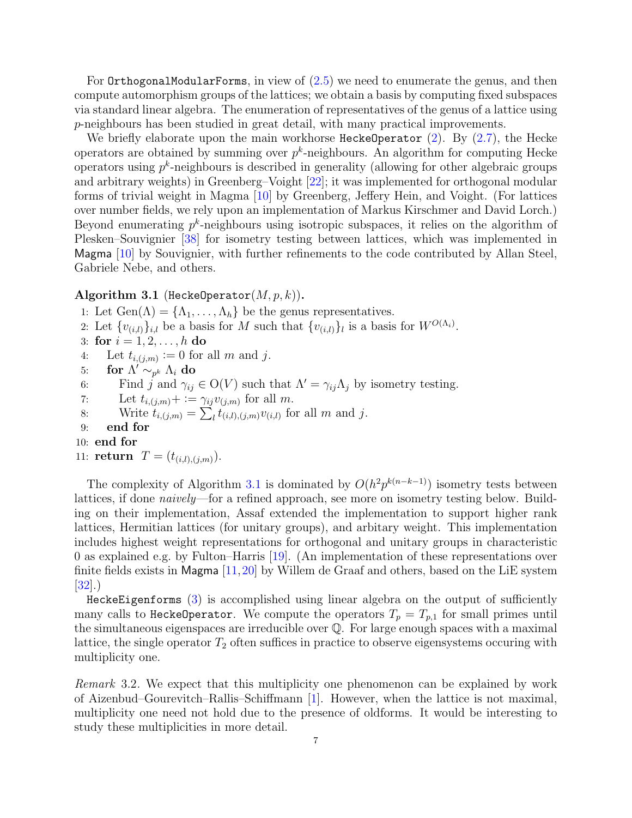For OrthogonalModularForms, in view of [\(2.5\)](#page-4-1) we need to enumerate the genus, and then compute automorphism groups of the lattices; we obtain a basis by computing fixed subspaces via standard linear algebra. The enumeration of representatives of the genus of a lattice using p-neighbours has been studied in great detail, with many practical improvements.

We briefly elaborate upon the main workhorse HeckeOperator  $(2)$ . By  $(2.7)$ , the Hecke operators are obtained by summing over  $p^k$ -neighbours. An algorithm for computing Hecke operators using  $p^k$ -neighbours is described in generality (allowing for other algebraic groups and arbitrary weights) in Greenberg–Voight [\[22\]](#page-29-7); it was implemented for orthogonal modular forms of trivial weight in Magma [\[10\]](#page-29-9) by Greenberg, Jeffery Hein, and Voight. (For lattices over number fields, we rely upon an implementation of Markus Kirschmer and David Lorch.) Beyond enumerating  $p^k$ -neighbours using isotropic subspaces, it relies on the algorithm of Plesken–Souvignier [\[38\]](#page-30-9) for isometry testing between lattices, which was implemented in Magma [\[10\]](#page-29-9) by Souvignier, with further refinements to the code contributed by Allan Steel, Gabriele Nebe, and others.

## <span id="page-6-0"></span>Algorithm 3.1 (HeckeOperator $(M, p, k)$ ).

1: Let  $Gen(\Lambda) = {\Lambda_1, \ldots, \Lambda_h}$  be the genus representatives.

- 2: Let  $\{v_{(i,l)}\}_{i,l}$  be a basis for M such that  $\{v_{(i,l)}\}_l$  is a basis for  $W^{O(\Lambda_i)}$ .
- 3: for  $i = 1, 2, ..., h$  do
- 4: Let  $t_{i,(j,m)} \coloneqq 0$  for all m and j.
- 5: for  $\Lambda' \sim_{p^k} \Lambda_i$  do

6: Find j and  $\gamma_{ij} \in O(V)$  such that  $\Lambda' = \gamma_{ij} \Lambda_j$  by isometry testing.

7: Let  $t_{i,(j,m)}+:=\gamma_{ij}v_{(j,m)}$  for all m.

8: Write 
$$
t_{i,(j,m)} = \sum_l t_{(i,l),(j,m)} v_{(i,l)}
$$
 for all  $m$  and  $j$ .

- 9: end for
- 10: end for
- 11: **return**  $T = (t_{(i,l),(i,m)})$ .

The complexity of Algorithm [3.1](#page-6-0) is dominated by  $O(h^2p^{k(n-k-1)})$  isometry tests between lattices, if done *naively*—for a refined approach, see more on isometry testing below. Building on their implementation, Assaf extended the implementation to support higher rank lattices, Hermitian lattices (for unitary groups), and arbitary weight. This implementation includes highest weight representations for orthogonal and unitary groups in characteristic 0 as explained e.g. by Fulton–Harris [\[19\]](#page-29-10). (An implementation of these representations over finite fields exists in Magma  $[11, 20]$  $[11, 20]$  $[11, 20]$  by Willem de Graaf and others, based on the LiE system [\[32\]](#page-30-10).)

HeckeEigenforms [\(3\)](#page-5-2) is accomplished using linear algebra on the output of sufficiently many calls to HeckeOperator. We compute the operators  $T_p = T_{p,1}$  for small primes until the simultaneous eigenspaces are irreducible over Q. For large enough spaces with a maximal lattice, the single operator  $T_2$  often suffices in practice to observe eigensystems occuring with multiplicity one.

Remark 3.2. We expect that this multiplicity one phenomenon can be explained by work of Aizenbud–Gourevitch–Rallis–Schiffmann [\[1\]](#page-29-13). However, when the lattice is not maximal, multiplicity one need not hold due to the presence of oldforms. It would be interesting to study these multiplicities in more detail.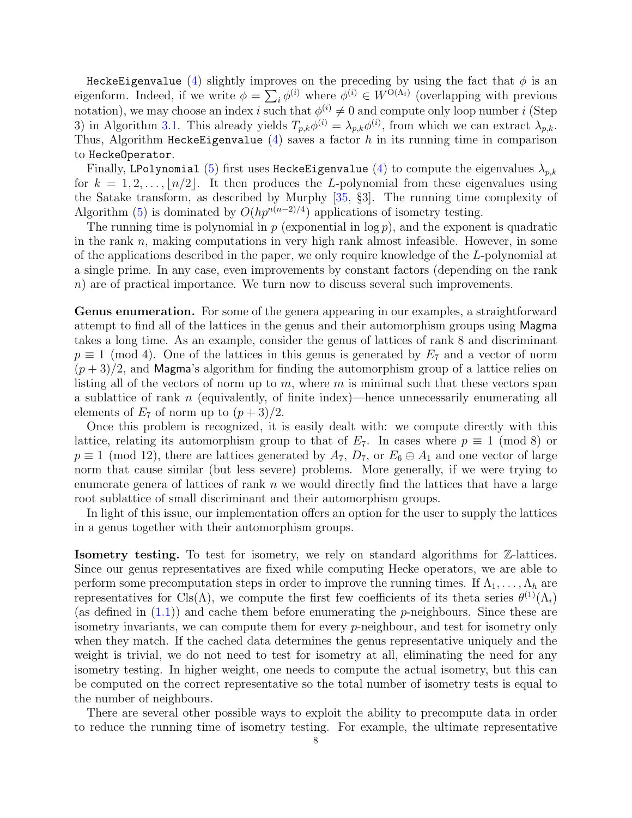HeckeEigenvalue [\(4\)](#page-5-3) slightly improves on the preceding by using the fact that  $\phi$  is an eigenform. Indeed, if we write  $\phi = \sum_i \phi^{(i)}$  where  $\phi^{(i)} \in W^{O(\Lambda_i)}$  (overlapping with previous notation), we may choose an index i such that  $\phi^{(i)} \neq 0$  and compute only loop number i (Step 3) in Algorithm [3.1.](#page-6-0) This already yields  $T_{p,k}\phi^{(i)} = \lambda_{p,k}\phi^{(i)}$ , from which we can extract  $\lambda_{p,k}$ . Thus, Algorithm HeckeEigenvalue  $(4)$  saves a factor h in its running time in comparison to HeckeOperator.

Finally, LPolynomial [\(5\)](#page-5-4) first uses HeckeEigenvalue [\(4\)](#page-5-3) to compute the eigenvalues  $\lambda_{p,k}$ for  $k = 1, 2, \ldots, \lfloor n/2 \rfloor$ . It then produces the L-polynomial from these eigenvalues using the Satake transform, as described by Murphy [\[35,](#page-30-8) §3]. The running time complexity of Algorithm [\(5\)](#page-5-4) is dominated by  $O(hp^{n(n-2)/4})$  applications of isometry testing.

The running time is polynomial in  $p$  (exponential in  $\log p$ ), and the exponent is quadratic in the rank  $n$ , making computations in very high rank almost infeasible. However, in some of the applications described in the paper, we only require knowledge of the L-polynomial at a single prime. In any case, even improvements by constant factors (depending on the rank n) are of practical importance. We turn now to discuss several such improvements.

Genus enumeration. For some of the genera appearing in our examples, a straightforward attempt to find all of the lattices in the genus and their automorphism groups using Magma takes a long time. As an example, consider the genus of lattices of rank 8 and discriminant  $p \equiv 1 \pmod{4}$ . One of the lattices in this genus is generated by  $E_7$  and a vector of norm  $(p+3)/2$ , and Magma's algorithm for finding the automorphism group of a lattice relies on listing all of the vectors of norm up to  $m$ , where  $m$  is minimal such that these vectors span a sublattice of rank n (equivalently, of finite index)—hence unnecessarily enumerating all elements of  $E_7$  of norm up to  $(p+3)/2$ .

Once this problem is recognized, it is easily dealt with: we compute directly with this lattice, relating its automorphism group to that of  $E_7$ . In cases where  $p \equiv 1 \pmod{8}$  or  $p \equiv 1 \pmod{12}$ , there are lattices generated by  $A_7$ ,  $D_7$ , or  $E_6 \oplus A_1$  and one vector of large norm that cause similar (but less severe) problems. More generally, if we were trying to enumerate genera of lattices of rank  $n$  we would directly find the lattices that have a large root sublattice of small discriminant and their automorphism groups.

In light of this issue, our implementation offers an option for the user to supply the lattices in a genus together with their automorphism groups.

Isometry testing. To test for isometry, we rely on standard algorithms for Z-lattices. Since our genus representatives are fixed while computing Hecke operators, we are able to perform some precomputation steps in order to improve the running times. If  $\Lambda_1, \ldots, \Lambda_h$  are representatives for Cls( $\Lambda$ ), we compute the first few coefficients of its theta series  $\theta^{(1)}(\Lambda_i)$ (as defined in  $(1.1)$ ) and cache them before enumerating the *p*-neighbours. Since these are isometry invariants, we can compute them for every  $p$ -neighbour, and test for isometry only when they match. If the cached data determines the genus representative uniquely and the weight is trivial, we do not need to test for isometry at all, eliminating the need for any isometry testing. In higher weight, one needs to compute the actual isometry, but this can be computed on the correct representative so the total number of isometry tests is equal to the number of neighbours.

There are several other possible ways to exploit the ability to precompute data in order to reduce the running time of isometry testing. For example, the ultimate representative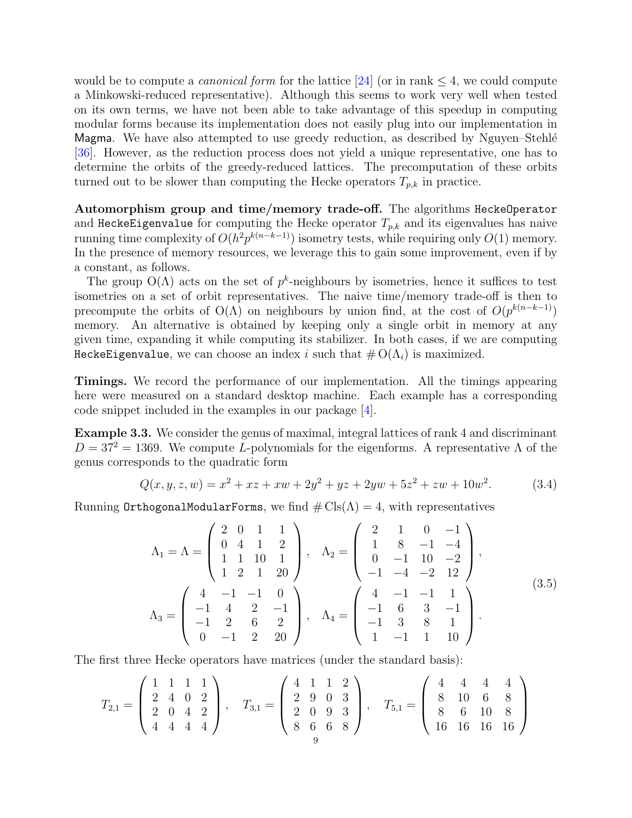would be to compute a *canonical form* for the lattice [\[24\]](#page-29-14) (or in rank  $\leq 4$ , we could compute a Minkowski-reduced representative). Although this seems to work very well when tested on its own terms, we have not been able to take advantage of this speedup in computing modular forms because its implementation does not easily plug into our implementation in Magma. We have also attempted to use greedy reduction, as described by Nguyen–Stehlé [\[36\]](#page-30-11). However, as the reduction process does not yield a unique representative, one has to determine the orbits of the greedy-reduced lattices. The precomputation of these orbits turned out to be slower than computing the Hecke operators  $T_{p,k}$  in practice.

Automorphism group and time/memory trade-off. The algorithms HeckeOperator and HeckeEigenvalue for computing the Hecke operator  $T_{p,k}$  and its eigenvalues has naive running time complexity of  $O(h^2p^{k(n-k-1)})$  isometry tests, while requiring only  $O(1)$  memory. In the presence of memory resources, we leverage this to gain some improvement, even if by a constant, as follows.

The group  $O(\Lambda)$  acts on the set of  $p^k$ -neighbours by isometries, hence it suffices to test isometries on a set of orbit representatives. The naive time/memory trade-off is then to precompute the orbits of  $O(\Lambda)$  on neighbours by union find, at the cost of  $O(p^{k(n-k-1)})$ memory. An alternative is obtained by keeping only a single orbit in memory at any given time, expanding it while computing its stabilizer. In both cases, if we are computing HeckeEigenvalue, we can choose an index i such that  $\#O(\Lambda_i)$  is maximized.

Timings. We record the performance of our implementation. All the timings appearing here were measured on a standard desktop machine. Each example has a corresponding code snippet included in the examples in our package [\[4\]](#page-29-5).

<span id="page-8-0"></span>Example 3.3. We consider the genus of maximal, integral lattices of rank 4 and discriminant  $D = 37^2 = 1369$ . We compute L-polynomials for the eigenforms. A representative  $\Lambda$  of the genus corresponds to the quadratic form

$$
Q(x, y, z, w) = x2 + xz + xw + 2y2 + yz + 2yw + 5z2 + zw + 10w2.
$$
 (3.4)

Running OrthogonalModularForms, we find  $\# \text{Cls}(\Lambda) = 4$ , with representatives

$$
\Lambda_1 = \Lambda = \begin{pmatrix} 2 & 0 & 1 & 1 \\ 0 & 4 & 1 & 2 \\ 1 & 1 & 10 & 1 \\ 1 & 2 & 1 & 20 \end{pmatrix}, \quad \Lambda_2 = \begin{pmatrix} 2 & 1 & 0 & -1 \\ 1 & 8 & -1 & -4 \\ 0 & -1 & 10 & -2 \\ -1 & -4 & -2 & 12 \end{pmatrix},
$$

$$
\Lambda_3 = \begin{pmatrix} 4 & -1 & -1 & 0 \\ -1 & 4 & 2 & -1 \\ -1 & 2 & 6 & 2 \\ 0 & -1 & 2 & 20 \end{pmatrix}, \quad \Lambda_4 = \begin{pmatrix} 4 & -1 & -1 & 1 \\ -1 & 6 & 3 & -1 \\ -1 & 3 & 8 & 1 \\ 1 & -1 & 1 & 10 \end{pmatrix}.
$$
(3.5)

The first three Hecke operators have matrices (under the standard basis):

$$
T_{2,1} = \left(\begin{array}{rrr} 1 & 1 & 1 & 1 \\ 2 & 4 & 0 & 2 \\ 2 & 0 & 4 & 2 \\ 4 & 4 & 4 & 4 \end{array}\right), \quad T_{3,1} = \left(\begin{array}{rrr} 4 & 1 & 1 & 2 \\ 2 & 9 & 0 & 3 \\ 2 & 0 & 9 & 3 \\ 8 & 6 & 6 & 8 \end{array}\right), \quad T_{5,1} = \left(\begin{array}{rrr} 4 & 4 & 4 & 4 \\ 8 & 10 & 6 & 8 \\ 8 & 6 & 10 & 8 \\ 16 & 16 & 16 & 16 \end{array}\right)
$$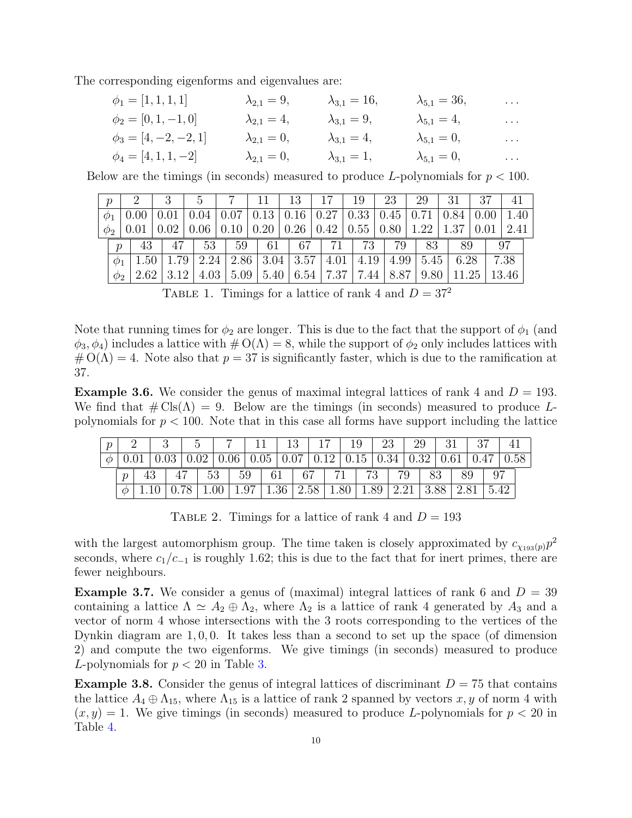The corresponding eigenforms and eigenvalues are:

| $\phi_1 = [1, 1, 1, 1]$   | $\lambda_{2,1} = 9,$ | $\lambda_{3,1} = 16,$ | $\lambda_{5,1} = 36,$ | $\sim$ $\sim$ $\sim$  |
|---------------------------|----------------------|-----------------------|-----------------------|-----------------------|
| $\phi_2 = [0, 1, -1, 0]$  | $\lambda_{2,1}=4,$   | $\lambda_{3,1} = 9,$  | $\lambda_{5,1} = 4,$  | $\cdots$              |
| $\phi_3 = [4, -2, -2, 1]$ | $\lambda_{2,1}=0,$   | $\lambda_{3,1}=4,$    | $\lambda_{5,1}=0,$    | $\sim 100$ km $^{-1}$ |
| $\phi_4 = [4, 1, 1, -2]$  | $\lambda_{2,1} = 0,$ | $\lambda_{3,1}=1,$    | $\lambda_{5,1}=0,$    | $\sim 100$ km $^{-1}$ |

Below are the timings (in seconds) measured to produce L-polynomials for  $p < 100$ .

| $\boldsymbol{p}$ |                |      |      |      |      |      | 13                         |                    | 19               | 23   | 29   |       |      |       |
|------------------|----------------|------|------|------|------|------|----------------------------|--------------------|------------------|------|------|-------|------|-------|
| $\varphi_1$      |                |      |      | 0.04 | 0.07 | 0.13 | $\mid 0.16 \mid$           | $\vert 0.27 \vert$ | 0.33             | 0.45 | 0.71 | 0.84  | 0.00 | 1.40  |
| $\phi_2$         |                |      | 0.02 | 0.06 | 0.10 |      | $0.20 \mid 0.26 \mid 0.42$ |                    | $\mid 0.55 \mid$ | 0.80 | 1.22 | 1.37  | 0.01 | 2.41  |
|                  | $\overline{p}$ | 43   | 47   | 53   | 59   | 61   | 67                         | 71                 | 73               | 79   | 83   | 89    |      | 97    |
|                  | $\varphi_1$    |      | 79   | 2.24 | 2.86 | 3.04 | 3.57                       | 4.01               | 4.19             | 4.99 | 5.45 | 6.28  |      | 7.38  |
|                  | $\varphi_2$    | 2.62 | 3.12 | 4.03 | 5.09 | 5.40 | 6.54                       | 7.37               | 7.44             | 8.87 | 9.80 | 11.25 |      | 13.46 |

TABLE 1. Timings for a lattice of rank 4 and  $D = 37^2$ 

Note that running times for  $\phi_2$  are longer. This is due to the fact that the support of  $\phi_1$  (and  $\phi_3, \phi_4$ ) includes a lattice with  $\#\mathrm{O}(\Lambda) = 8$ , while the support of  $\phi_2$  only includes lattices with  $\# O(\Lambda) = 4$ . Note also that  $p = 37$  is significantly faster, which is due to the ramification at 37.

<span id="page-9-1"></span>**Example 3.6.** We consider the genus of maximal integral lattices of rank 4 and  $D = 193$ . We find that  $\#\text{Cls}(\Lambda) = 9$ . Below are the timings (in seconds) measured to produce Lpolynomials for  $p < 100$ . Note that in this case all forms have support including the lattice

| $\mathcal{D}$ |                     |                                                                                                                                |  |  | 7   11   13   17   19   23                                                                                      |  |  |  |  |  | 29 |      |                     |      |  |
|---------------|---------------------|--------------------------------------------------------------------------------------------------------------------------------|--|--|-----------------------------------------------------------------------------------------------------------------|--|--|--|--|--|----|------|---------------------|------|--|
|               |                     | $0.01 \mid 0.03 \mid 0.02 \mid 0.06 \mid 0.05 \mid 0.07 \mid 0.12 \mid 0.15 \mid 0.34 \mid 0.32 \mid 0.61 \mid 0.47 \mid 0.58$ |  |  |                                                                                                                 |  |  |  |  |  |    |      |                     |      |  |
|               | $\boldsymbol{\eta}$ |                                                                                                                                |  |  |                                                                                                                 |  |  |  |  |  |    | - 83 | $\pm$ 89 $^{\circ}$ | - 97 |  |
|               |                     |                                                                                                                                |  |  | $\mid 0.78 \mid 1.00 \mid 1.97 \mid 1.36 \mid 2.58 \mid 1.80 \mid 1.89 \mid 2.21 \mid 3.88 \mid 2.81 \mid 5.42$ |  |  |  |  |  |    |      |                     |      |  |

TABLE 2. Timings for a lattice of rank 4 and  $D = 193$ 

with the largest automorphism group. The time taken is closely approximated by  $c_{\chi_{193}(p)}p^2$ seconds, where  $c_1/c_{-1}$  is roughly 1.62; this is due to the fact that for inert primes, there are fewer neighbours.

<span id="page-9-0"></span>**Example 3.7.** We consider a genus of (maximal) integral lattices of rank 6 and  $D = 39$ containing a lattice  $\Lambda \simeq A_2 \oplus \Lambda_2$ , where  $\Lambda_2$  is a lattice of rank 4 generated by  $A_3$  and a vector of norm 4 whose intersections with the 3 roots corresponding to the vertices of the Dynkin diagram are 1, 0, 0. It takes less than a second to set up the space (of dimension 2) and compute the two eigenforms. We give timings (in seconds) measured to produce *L*-polynomials for  $p < 20$  in Table [3.](#page-10-0)

<span id="page-9-2"></span>**Example 3.8.** Consider the genus of integral lattices of discriminant  $D = 75$  that contains the lattice  $A_4 \oplus \Lambda_{15}$ , where  $\Lambda_{15}$  is a lattice of rank 2 spanned by vectors x, y of norm 4 with  $(x, y) = 1$ . We give timings (in seconds) measured to produce L-polynomials for  $p < 20$  in Table [4.](#page-10-1)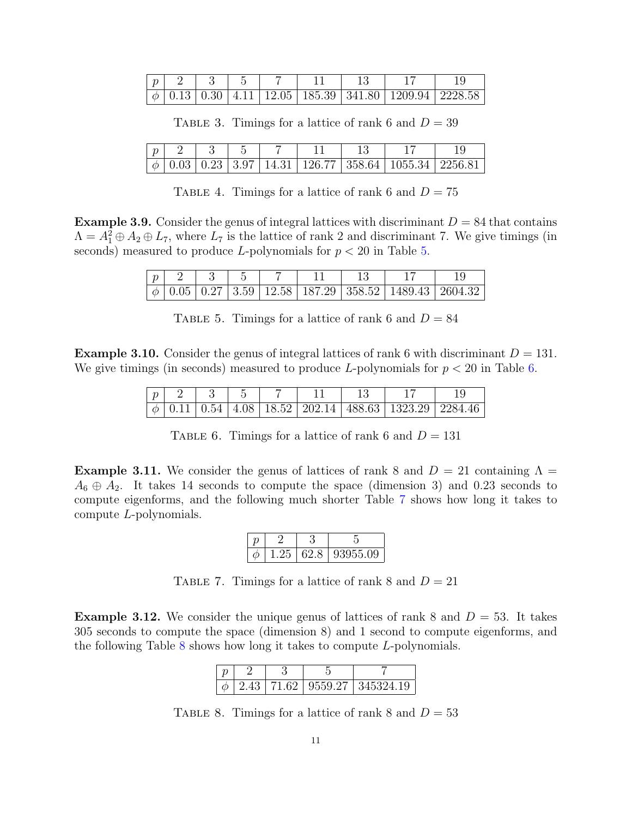<span id="page-10-0"></span>

| $\eta$ |  |  |  |                                                                                                        |  |
|--------|--|--|--|--------------------------------------------------------------------------------------------------------|--|
|        |  |  |  | $\mid \phi \mid 0.13 \mid 0.30 \mid 4.11 \mid 12.05 \mid 185.39 \mid 341.80 \mid 1209.94 \mid 2228.58$ |  |

TABLE 3. Timings for a lattice of rank 6 and  $D = 39$ 

<span id="page-10-1"></span>

|  |  |  | $\phi$   0.03   0.23   3.97   14.31   126.77   358.64   1055.34   2256.81 |  |
|--|--|--|---------------------------------------------------------------------------|--|

TABLE 4. Timings for a lattice of rank 6 and  $D = 75$ 

<span id="page-10-6"></span><span id="page-10-2"></span>**Example 3.9.** Consider the genus of integral lattices with discriminant  $D = 84$  that contains  $\Lambda = A_1^2 \oplus A_2 \oplus L_7$ , where  $L_7$  is the lattice of rank 2 and discriminant 7. We give timings (in seconds) measured to produce L-polynomials for  $p < 20$  in Table [5.](#page-10-2)

| $\boldsymbol{v}$ |  |  |  |                                                                                                        |  |
|------------------|--|--|--|--------------------------------------------------------------------------------------------------------|--|
|                  |  |  |  | $\mid \phi \mid 0.05 \mid 0.27 \mid 3.59 \mid 12.58 \mid 187.29 \mid 358.52 \mid 1489.43 \mid 2604.32$ |  |

TABLE 5. Timings for a lattice of rank 6 and  $D = 84$ 

<span id="page-10-7"></span><span id="page-10-3"></span>**Example 3.10.** Consider the genus of integral lattices of rank 6 with discriminant  $D = 131$ . We give timings (in seconds) measured to produce L-polynomials for  $p < 20$  in Table [6.](#page-10-3)

| $\sim$ |  |  |  |                                                                                              |  |
|--------|--|--|--|----------------------------------------------------------------------------------------------|--|
|        |  |  |  | $\mid 0.11 \mid 0.54 \mid 4.08 \mid 18.52 \mid 202.14 \mid 488.63 \mid 1323.29 \mid 2284.46$ |  |

TABLE 6. Timings for a lattice of rank 6 and  $D = 131$ 

<span id="page-10-8"></span><span id="page-10-4"></span>**Example 3.11.** We consider the genus of lattices of rank 8 and  $D = 21$  containing  $\Lambda =$  $A_6 \oplus A_2$ . It takes 14 seconds to compute the space (dimension 3) and 0.23 seconds to compute eigenforms, and the following much shorter Table [7](#page-10-4) shows how long it takes to compute L-polynomials.

|  |  | 1.25   62.8   93955.09 |
|--|--|------------------------|

TABLE 7. Timings for a lattice of rank 8 and  $D = 21$ 

<span id="page-10-9"></span><span id="page-10-5"></span>**Example 3.12.** We consider the unique genus of lattices of rank 8 and  $D = 53$ . It takes 305 seconds to compute the space (dimension 8) and 1 second to compute eigenforms, and the following Table  $8$  shows how long it takes to compute  $L$ -polynomials.

|  |  | $\phi$   2.43   71.62   9559.27   345324.19 |  |  |
|--|--|---------------------------------------------|--|--|

TABLE 8. Timings for a lattice of rank 8 and  $D = 53$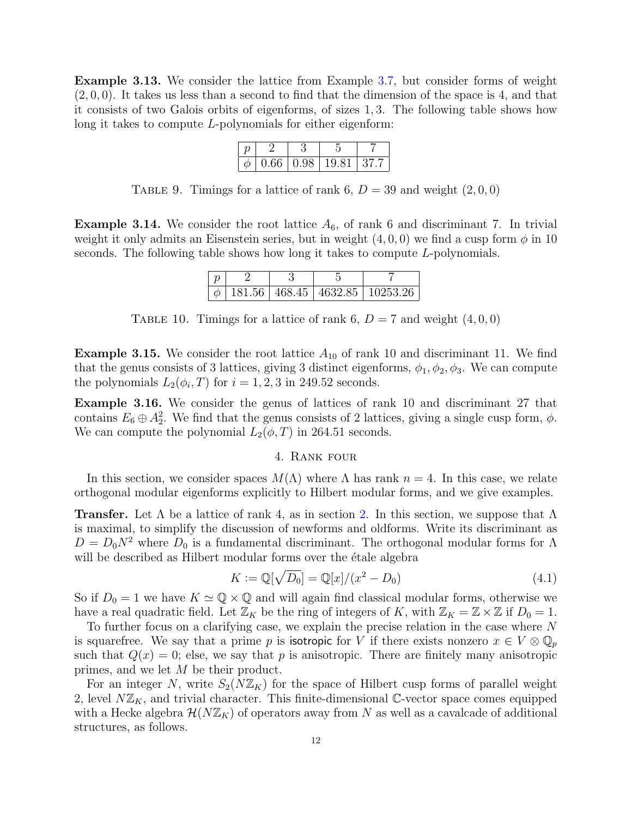Example 3.13. We consider the lattice from Example [3.7,](#page-9-0) but consider forms of weight  $(2, 0, 0)$ . It takes us less than a second to find that the dimension of the space is 4, and that it consists of two Galois orbits of eigenforms, of sizes 1, 3. The following table shows how long it takes to compute L-polynomials for either eigenform:

|  | $0.66 \mid 0.98 \mid 19.81$ | 37. |
|--|-----------------------------|-----|

TABLE 9. Timings for a lattice of rank 6,  $D = 39$  and weight  $(2, 0, 0)$ 

<span id="page-11-1"></span>**Example 3.14.** We consider the root lattice  $A_6$ , of rank 6 and discriminant 7. In trivial weight it only admits an Eisenstein series, but in weight  $(4, 0, 0)$  we find a cusp form  $\phi$  in 10 seconds. The following table shows how long it takes to compute L-polynomials.

|  |  | 181.56 468.45 4632.85 10253.26 |
|--|--|--------------------------------|

TABLE 10. Timings for a lattice of rank 6,  $D = 7$  and weight  $(4, 0, 0)$ 

<span id="page-11-2"></span>**Example 3.15.** We consider the root lattice  $A_{10}$  of rank 10 and discriminant 11. We find that the genus consists of 3 lattices, giving 3 distinct eigenforms,  $\phi_1, \phi_2, \phi_3$ . We can compute the polynomials  $L_2(\phi_i, T)$  for  $i = 1, 2, 3$  in 249.52 seconds.

<span id="page-11-3"></span>Example 3.16. We consider the genus of lattices of rank 10 and discriminant 27 that contains  $E_6 \oplus A_2^2$ . We find that the genus consists of 2 lattices, giving a single cusp form,  $\phi$ . We can compute the polynomial  $L_2(\phi, T)$  in 264.51 seconds.

## 4. Rank four

<span id="page-11-0"></span>In this section, we consider spaces  $M(\Lambda)$  where  $\Lambda$  has rank  $n = 4$ . In this case, we relate orthogonal modular eigenforms explicitly to Hilbert modular forms, and we give examples.

**Transfer.** Let  $\Lambda$  be a lattice of rank 4, as in section [2.](#page-3-0) In this section, we suppose that  $\Lambda$ is maximal, to simplify the discussion of newforms and oldforms. Write its discriminant as  $D = D_0N^2$  where  $D_0$  is a fundamental discriminant. The orthogonal modular forms for  $\Lambda$ will be described as Hilbert modular forms over the étale algebra

$$
K := \mathbb{Q}[\sqrt{D_0}] = \mathbb{Q}[x]/(x^2 - D_0)
$$
\n(4.1)

So if  $D_0 = 1$  we have  $K \simeq \mathbb{Q} \times \mathbb{Q}$  and will again find classical modular forms, otherwise we have a real quadratic field. Let  $\mathbb{Z}_K$  be the ring of integers of K, with  $\mathbb{Z}_K = \mathbb{Z} \times \mathbb{Z}$  if  $D_0 = 1$ .

To further focus on a clarifying case, we explain the precise relation in the case where N is squarefree. We say that a prime p is isotropic for V if there exists nonzero  $x \in V \otimes \mathbb{Q}_p$ such that  $Q(x) = 0$ ; else, we say that p is anisotropic. There are finitely many anisotropic primes, and we let M be their product.

For an integer N, write  $S_2(N\mathbb{Z}_K)$  for the space of Hilbert cusp forms of parallel weight 2, level  $N\mathbb{Z}_K$ , and trivial character. This finite-dimensional C-vector space comes equipped with a Hecke algebra  $\mathcal{H}(N\mathbb{Z}_K)$  of operators away from N as well as a cavalcade of additional structures, as follows.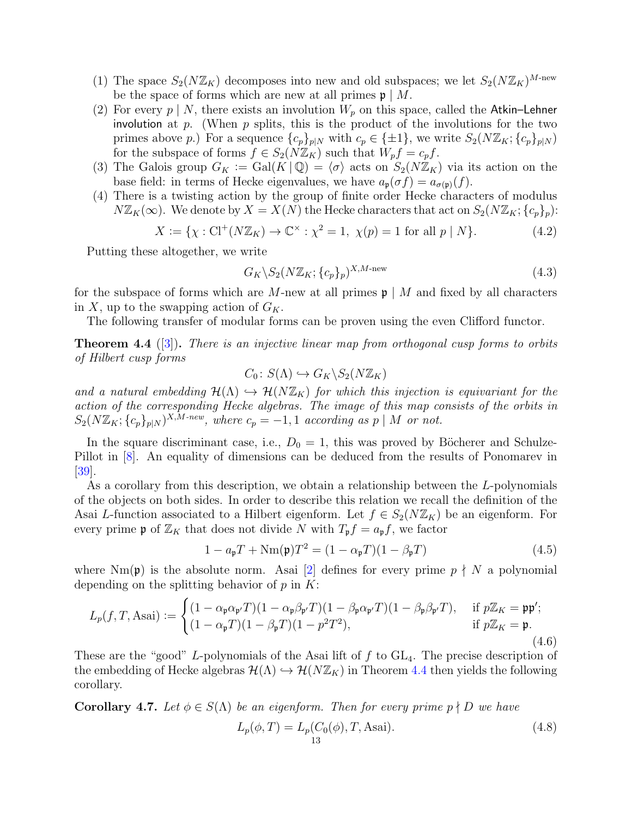- (1) The space  $S_2(N\mathbb{Z}_K)$  decomposes into new and old subspaces; we let  $S_2(N\mathbb{Z}_K)^{M\text{-new}}$ be the space of forms which are new at all primes  $\mathfrak{p} \mid M$ .
- (2) For every  $p \mid N$ , there exists an involution  $W_p$  on this space, called the Atkin–Lehner involution at  $p$ . (When  $p$  splits, this is the product of the involutions for the two primes above p.) For a sequence  $\{c_p\}_{p\mid N}$  with  $c_p \in {\pm 1}$ , we write  $S_2(N\mathbb{Z}_K; \{c_p\}_{p\mid N})$ for the subspace of forms  $f \in S_2(N\mathbb{Z}_K)$  such that  $W_p f = c_p f$ .
- (3) The Galois group  $G_K := \text{Gal}(K \mid \mathbb{Q}) = \langle \sigma \rangle$  acts on  $S_2(N\mathbb{Z}_K)$  via its action on the base field: in terms of Hecke eigenvalues, we have  $a_{\mathfrak{p}}(\sigma f) = a_{\sigma(\mathfrak{p})}(f)$ .
- (4) There is a twisting action by the group of finite order Hecke characters of modulus  $N\mathbb{Z}_K(\infty)$ . We denote by  $X = X(N)$  the Hecke characters that act on  $S_2(N\mathbb{Z}_K; \{c_p\}_p)$ :

$$
X := \{ \chi : Cl^+(N\mathbb{Z}_K) \to \mathbb{C}^\times : \chi^2 = 1, \ \chi(p) = 1 \text{ for all } p \mid N \}. \tag{4.2}
$$

Putting these altogether, we write

$$
G_K \backslash S_2(N\mathbb{Z}_K; \{c_p\}_p)^{X, M\text{-new}}\tag{4.3}
$$

for the subspace of forms which are M-new at all primes  $p \mid M$  and fixed by all characters in X, up to the swapping action of  $G_K$ .

The following transfer of modular forms can be proven using the even Clifford functor.

<span id="page-12-0"></span>**Theorem 4.4** ([\[3\]](#page-29-15)). There is an injective linear map from orthogonal cusp forms to orbits of Hilbert cusp forms

$$
C_0\colon S(\Lambda) \hookrightarrow G_K \backslash S_2(N\mathbb{Z}_K)
$$

and a natural embedding  $\mathcal{H}(\Lambda) \hookrightarrow \mathcal{H}(N\mathbb{Z}_K)$  for which this injection is equivariant for the action of the corresponding Hecke algebras. The image of this map consists of the orbits in  $S_2(N\mathbb{Z}_K; \{c_p\}_{p\mid N})^{X,M\text{-}new}$ , where  $c_p = -1, 1$  according as p | M or not.

In the square discriminant case, i.e.,  $D_0 = 1$ , this was proved by Böcherer and Schulze-Pillot in [\[8\]](#page-29-16). An equality of dimensions can be deduced from the results of Ponomarev in [\[39\]](#page-30-12).

As a corollary from this description, we obtain a relationship between the L-polynomials of the objects on both sides. In order to describe this relation we recall the definition of the Asai L-function associated to a Hilbert eigenform. Let  $f \in S_2(N\mathbb{Z}_K)$  be an eigenform. For every prime **p** of  $\mathbb{Z}_K$  that does not divide N with  $T_p f = a_p f$ , we factor

$$
1 - a_{\mathfrak{p}}T + Nm(\mathfrak{p})T^2 = (1 - \alpha_{\mathfrak{p}}T)(1 - \beta_{\mathfrak{p}}T)
$$
\n(4.5)

where  $Nm(\mathfrak{p})$  is the absolute norm. Asai [\[2\]](#page-29-17) defines for every prime  $p \nmid N$  a polynomial depending on the splitting behavior of  $p$  in  $K$ :

<span id="page-12-1"></span>
$$
L_p(f, T, \text{Asai}) := \begin{cases} (1 - \alpha_{\mathfrak{p}} \alpha_{\mathfrak{p}'} T)(1 - \alpha_{\mathfrak{p}} \beta_{\mathfrak{p}'} T)(1 - \beta_{\mathfrak{p}} \alpha_{\mathfrak{p}'} T)(1 - \beta_{\mathfrak{p}} \beta_{\mathfrak{p}'} T), & \text{if } p\mathbb{Z}_K = \mathfrak{p}\mathfrak{p}';\\ (1 - \alpha_{\mathfrak{p}} T)(1 - \beta_{\mathfrak{p}} T)(1 - p^2 T^2), & \text{if } p\mathbb{Z}_K = \mathfrak{p}. \end{cases}
$$
(4.6)

These are the "good" L-polynomials of the Asai lift of  $f$  to  $GL_4$ . The precise description of the embedding of Hecke algebras  $\mathcal{H}(\Lambda) \hookrightarrow \mathcal{H}(N \mathbb{Z}_K)$  in Theorem [4.4](#page-12-0) then yields the following corollary.

**Corollary 4.7.** Let  $\phi \in S(\Lambda)$  be an eigenform. Then for every prime  $p \nmid D$  we have

$$
L_p(\phi, T) = L_p(C_0(\phi), T, \text{Asai}).
$$
\n(4.8)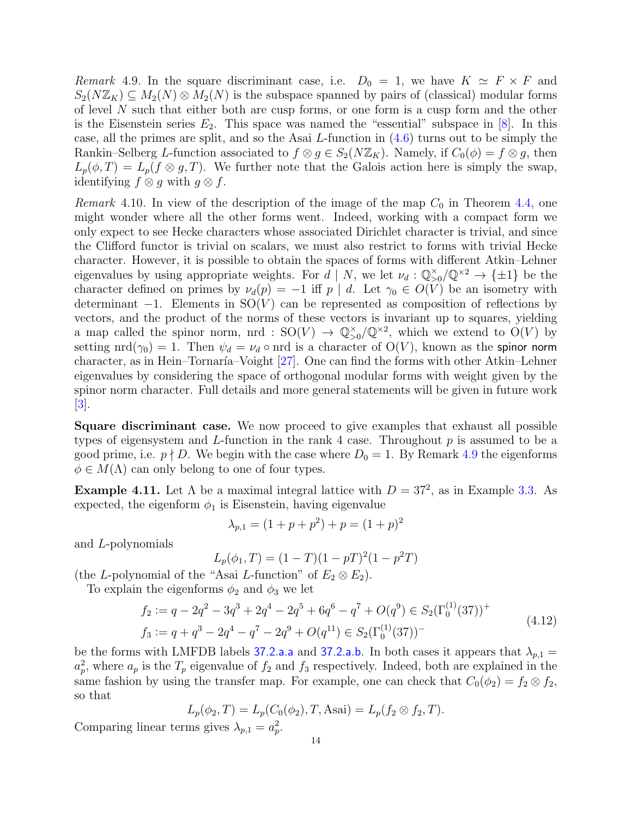<span id="page-13-0"></span>Remark 4.9. In the square discriminant case, i.e.  $D_0 = 1$ , we have  $K \simeq F \times F$  and  $S_2(N\mathbb{Z}_K) \subseteq M_2(N) \otimes M_2(N)$  is the subspace spanned by pairs of (classical) modular forms of level  $N$  such that either both are cusp forms, or one form is a cusp form and the other is the Eisenstein series  $E_2$ . This space was named the "essential" subspace in [\[8\]](#page-29-16). In this case, all the primes are split, and so the Asai L-function in [\(4.6\)](#page-12-1) turns out to be simply the Rankin–Selberg L-function associated to  $f \otimes g \in S_2(N\mathbb{Z}_K)$ . Namely, if  $C_0(\phi) = f \otimes g$ , then  $L_p(\phi,T) = L_p(f \otimes g,T)$ . We further note that the Galois action here is simply the swap, identifying  $f \otimes g$  with  $g \otimes f$ .

<span id="page-13-1"></span>Remark 4.10. In view of the description of the image of the map  $C_0$  in Theorem [4.4,](#page-12-0) one might wonder where all the other forms went. Indeed, working with a compact form we only expect to see Hecke characters whose associated Dirichlet character is trivial, and since the Clifford functor is trivial on scalars, we must also restrict to forms with trivial Hecke character. However, it is possible to obtain the spaces of forms with different Atkin–Lehner eigenvalues by using appropriate weights. For  $d \mid N$ , we let  $\nu_d : \mathbb{Q}_{>0}^{\times}/\mathbb{Q}^{\times2} \to {\pm 1}$  be the character defined on primes by  $\nu_d(p) = -1$  iff  $p \mid d$ . Let  $\gamma_0 \in O(V)$  be an isometry with determinant  $-1$ . Elements in SO(V) can be represented as composition of reflections by vectors, and the product of the norms of these vectors is invariant up to squares, yielding a map called the spinor norm, nrd :  $SO(V) \to \mathbb{Q}_{>0}^{\times}/\mathbb{Q}^{\times 2}$ , which we extend to  $O(V)$  by setting nrd( $\gamma_0$ ) = 1. Then  $\psi_d = \nu_d \circ \text{nrd}$  is a character of  $O(V)$ , known as the spinor norm character, as in Hein–Tornaría–Voight  $[27]$ . One can find the forms with other Atkin–Lehner eigenvalues by considering the space of orthogonal modular forms with weight given by the spinor norm character. Full details and more general statements will be given in future work [\[3\]](#page-29-15).

Square discriminant case. We now proceed to give examples that exhaust all possible types of eigensystem and L-function in the rank 4 case. Throughout  $p$  is assumed to be a good prime, i.e.  $p \nmid D$ . We begin with the case where  $D_0 = 1$ . By Remark [4.9](#page-13-0) the eigenforms  $\phi \in M(\Lambda)$  can only belong to one of four types.

**Example 4.11.** Let  $\Lambda$  be a maximal integral lattice with  $D = 37^2$ , as in Example [3.3.](#page-8-0) As expected, the eigenform  $\phi_1$  is Eisenstein, having eigenvalue

$$
\lambda_{p,1} = (1 + p + p^2) + p = (1 + p)^2
$$

and L-polynomials

$$
L_p(\phi_1, T) = (1 - T)(1 - pT)^2(1 - p^2T)
$$

(the L-polynomial of the "Asai L-function" of  $E_2 \otimes E_2$ ).

To explain the eigenforms  $\phi_2$  and  $\phi_3$  we let

$$
f_2 := q - 2q^2 - 3q^3 + 2q^4 - 2q^5 + 6q^6 - q^7 + O(q^9) \in S_2(\Gamma_0^{(1)}(37))^+
$$
  
\n
$$
f_3 := q + q^3 - 2q^4 - q^7 - 2q^9 + O(q^{11}) \in S_2(\Gamma_0^{(1)}(37))^-\tag{4.12}
$$

be the forms with LMFDB labels [37.2.a.a](https://www.lmfdb.org/ModularForm/GL2/Q/holomorphic/37/2/a/a/) and [37.2.a.b](https://www.lmfdb.org/ModularForm/GL2/Q/holomorphic/37/2/a/b/). In both cases it appears that  $\lambda_{p,1} =$  $a_p^2$ , where  $a_p$  is the  $T_p$  eigenvalue of  $f_2$  and  $f_3$  respectively. Indeed, both are explained in the same fashion by using the transfer map. For example, one can check that  $C_0(\phi_2) = f_2 \otimes f_2$ , so that

$$
L_p(\phi_2, T) = L_p(C_0(\phi_2), T, \text{Asai}) = L_p(f_2 \otimes f_2, T).
$$

Comparing linear terms gives  $\lambda_{p,1} = a_p^2$ .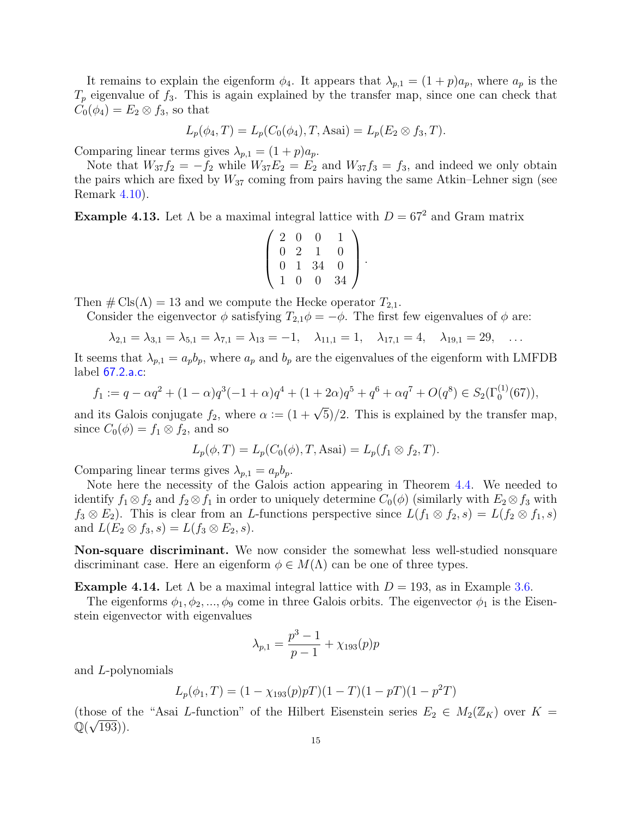It remains to explain the eigenform  $\phi_4$ . It appears that  $\lambda_{p,1} = (1+p)a_p$ , where  $a_p$  is the  $T_p$  eigenvalue of  $f_3$ . This is again explained by the transfer map, since one can check that  $C_0(\phi_4) = E_2 \otimes f_3$ , so that

$$
L_p(\phi_4, T) = L_p(C_0(\phi_4), T, \text{Asai}) = L_p(E_2 \otimes f_3, T).
$$

Comparing linear terms gives  $\lambda_{p,1} = (1+p)a_p$ .

Note that  $W_{37}f_2 = -f_2$  while  $W_{37}E_2 = E_2$  and  $W_{37}f_3 = f_3$ , and indeed we only obtain the pairs which are fixed by  $W_{37}$  coming from pairs having the same Atkin–Lehner sign (see Remark [4.10\)](#page-13-1).

**Example 4.13.** Let  $\Lambda$  be a maximal integral lattice with  $D = 67^2$  and Gram matrix

$$
\left(\begin{array}{cccc} 2 & 0 & 0 & 1 \\ 0 & 2 & 1 & 0 \\ 0 & 1 & 34 & 0 \\ 1 & 0 & 0 & 34 \end{array}\right).
$$

Then  $\#\text{Cls}(\Lambda) = 13$  and we compute the Hecke operator  $T_{2,1}$ .

Consider the eigenvector  $\phi$  satisfying  $T_{2,1}\phi = -\phi$ . The first few eigenvalues of  $\phi$  are:

$$
\lambda_{2,1} = \lambda_{3,1} = \lambda_{5,1} = \lambda_{7,1} = \lambda_{13} = -1, \quad \lambda_{11,1} = 1, \quad \lambda_{17,1} = 4, \quad \lambda_{19,1} = 29, \quad \dots
$$

It seems that  $\lambda_{p,1} = a_p b_p$ , where  $a_p$  and  $b_p$  are the eigenvalues of the eigenform with LMFDB label [67.2.a.c](https://www.lmfdb.org/ModularForm/GL2/Q/holomorphic/67/2/a/c/):

$$
f_1 := q - \alpha q^2 + (1 - \alpha)q^3(-1 + \alpha)q^4 + (1 + 2\alpha)q^5 + q^6 + \alpha q^7 + O(q^8) \in S_2(\Gamma_0^{(1)}(67)),
$$

and its Galois conjugate  $f_2$ , where  $\alpha := (1 + \sqrt{5})/2$ . This is explained by the transfer map, since  $C_0(\phi) = f_1 \otimes f_2$ , and so

$$
L_p(\phi, T) = L_p(C_0(\phi), T, \text{Asai}) = L_p(f_1 \otimes f_2, T).
$$

Comparing linear terms gives  $\lambda_{p,1} = a_p b_p$ .

Note here the necessity of the Galois action appearing in Theorem [4.4.](#page-12-0) We needed to identify  $f_1 \otimes f_2$  and  $f_2 \otimes f_1$  in order to uniquely determine  $C_0(\phi)$  (similarly with  $E_2 \otimes f_3$  with  $f_3 \otimes E_2$ ). This is clear from an L-functions perspective since  $L(f_1 \otimes f_2, s) = L(f_2 \otimes f_1, s)$ and  $L(E_2 \otimes f_3, s) = L(f_3 \otimes E_2, s)$ .

Non-square discriminant. We now consider the somewhat less well-studied nonsquare discriminant case. Here an eigenform  $\phi \in M(\Lambda)$  can be one of three types.

**Example 4.14.** Let  $\Lambda$  be a maximal integral lattice with  $D = 193$ , as in Example [3.6.](#page-9-1)

The eigenforms  $\phi_1, \phi_2, ..., \phi_9$  come in three Galois orbits. The eigenvector  $\phi_1$  is the Eisenstein eigenvector with eigenvalues

$$
\lambda_{p,1} = \frac{p^3 - 1}{p - 1} + \chi_{193}(p)p
$$

and L-polynomials

$$
L_p(\phi_1, T) = (1 - \chi_{193}(p)pT)(1 - T)(1 - pT)(1 - p^2T)
$$

(those of the "Asai L-function" of the Hilbert Eisenstein series  $E_2 \in M_2(\mathbb{Z}_K)$  over  $K =$  $\overline{\mathbb{Q}(\sqrt{193})}$ .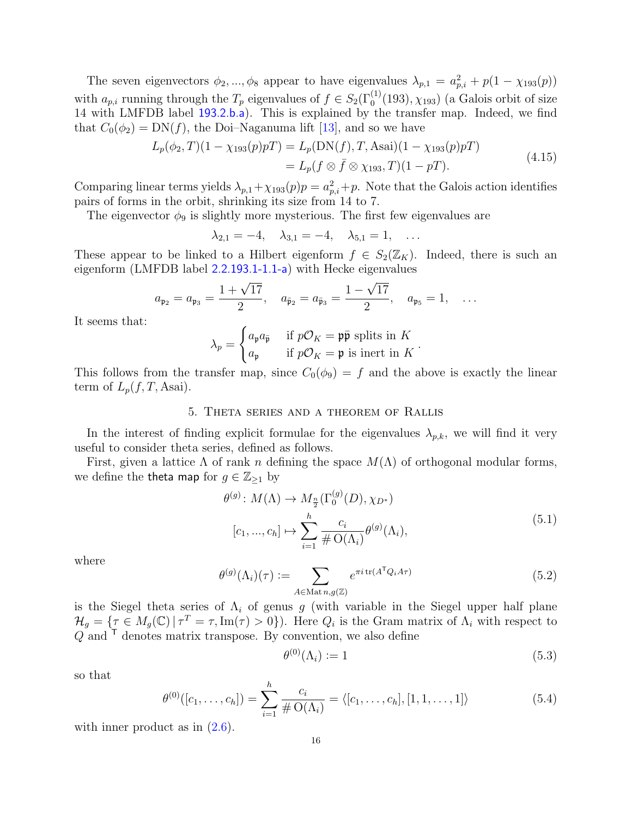The seven eigenvectors  $\phi_2, ..., \phi_8$  appear to have eigenvalues  $\lambda_{p,1} = a_{p,i}^2 + p(1 - \chi_{193}(p))$ with  $a_{p,i}$  running through the  $T_p$  eigenvalues of  $f \in S_2(\Gamma_0^{(1)}(193), \chi_{193})$  (a Galois orbit of size 14 with LMFDB label [193.2.b.a](https://www.lmfdb.org/ModularForm/GL2/Q/holomorphic/193/2/b/a/)). This is explained by the transfer map. Indeed, we find that  $C_0(\phi_2) = DN(f)$ , the Doi–Naganuma lift [\[13\]](#page-29-18), and so we have

$$
L_p(\phi_2, T)(1 - \chi_{193}(p)p) = L_p(DN(f), T, \text{Asai})(1 - \chi_{193}(p)p)
$$
  
=  $L_p(f \otimes \bar{f} \otimes \chi_{193}, T)(1 - p)$ . (4.15)

Comparing linear terms yields  $\lambda_{p,1} + \chi_{193}(p)p = a_{p,i}^2 + p$ . Note that the Galois action identifies pairs of forms in the orbit, shrinking its size from 14 to 7.

The eigenvector  $\phi_9$  is slightly more mysterious. The first few eigenvalues are

$$
\lambda_{2,1} = -4, \quad \lambda_{3,1} = -4, \quad \lambda_{5,1} = 1, \quad \dots
$$

These appear to be linked to a Hilbert eigenform  $f \in S_2(\mathbb{Z}_K)$ . Indeed, there is such an eigenform (LMFDB label [2.2.193.1-1.1-a](https://www.lmfdb.org/ModularForm/GL2/TotallyReal/2.2.193.1/holomorphic/2.2.193.1-1.1-a)) with Hecke eigenvalues √

$$
a_{\mathfrak{p}_2} = a_{\mathfrak{p}_3} = \frac{1 + \sqrt{17}}{2}, \quad a_{\bar{\mathfrak{p}}_2} = a_{\bar{\mathfrak{p}}_3} = \frac{1 - \sqrt{17}}{2}, \quad a_{\mathfrak{p}_5} = 1, \quad \dots
$$

It seems that:

$$
\lambda_p = \begin{cases} a_{\mathfrak{p}} a_{\bar{\mathfrak{p}}} & \text{if } p \mathcal{O}_K = \mathfrak{p} \bar{\mathfrak{p}} \text{ splits in } K \\ a_{\mathfrak{p}} & \text{if } p \mathcal{O}_K = \mathfrak{p} \text{ is inert in } K \end{cases}.
$$

This follows from the transfer map, since  $C_0(\phi_9) = f$  and the above is exactly the linear term of  $L_p(f,T, \text{Asai}).$ 

### 5. Theta series and a theorem of Rallis

<span id="page-15-0"></span>In the interest of finding explicit formulae for the eigenvalues  $\lambda_{p,k}$ , we will find it very useful to consider theta series, defined as follows.

First, given a lattice  $\Lambda$  of rank n defining the space  $M(\Lambda)$  of orthogonal modular forms, we define the **theta map** for  $g \in \mathbb{Z}_{\geq 1}$  by

$$
\theta^{(g)}: M(\Lambda) \to M_{\frac{n}{2}}(\Gamma_0^{(g)}(D), \chi_{D^*})
$$
  
\n
$$
[c_1, ..., c_h] \mapsto \sum_{i=1}^h \frac{c_i}{\# \mathcal{O}(\Lambda_i)} \theta^{(g)}(\Lambda_i),
$$
\n(5.1)

where

$$
\theta^{(g)}(\Lambda_i)(\tau) := \sum_{A \in \text{Mat }n, g(\mathbb{Z})} e^{\pi i \operatorname{tr}(A^{\mathsf{T}} Q_i A \tau)} \tag{5.2}
$$

is the Siegel theta series of  $\Lambda_i$  of genus g (with variable in the Siegel upper half plane  $\mathcal{H}_g = \{ \tau \in M_g(\mathbb{C}) \mid \tau^T = \tau, \text{Im}(\tau) > 0 \}.$  Here  $Q_i$  is the Gram matrix of  $\Lambda_i$  with respect to  $Q$  and  $\overline{I}$  denotes matrix transpose. By convention, we also define

$$
\theta^{(0)}(\Lambda_i) := 1 \tag{5.3}
$$

so that

$$
\theta^{(0)}([c_1,\ldots,c_h]) = \sum_{i=1}^h \frac{c_i}{\# \mathrm{O}(\Lambda_i)} = \langle [c_1,\ldots,c_h], [1,1,\ldots,1] \rangle \tag{5.4}
$$

with inner product as in  $(2.6)$ .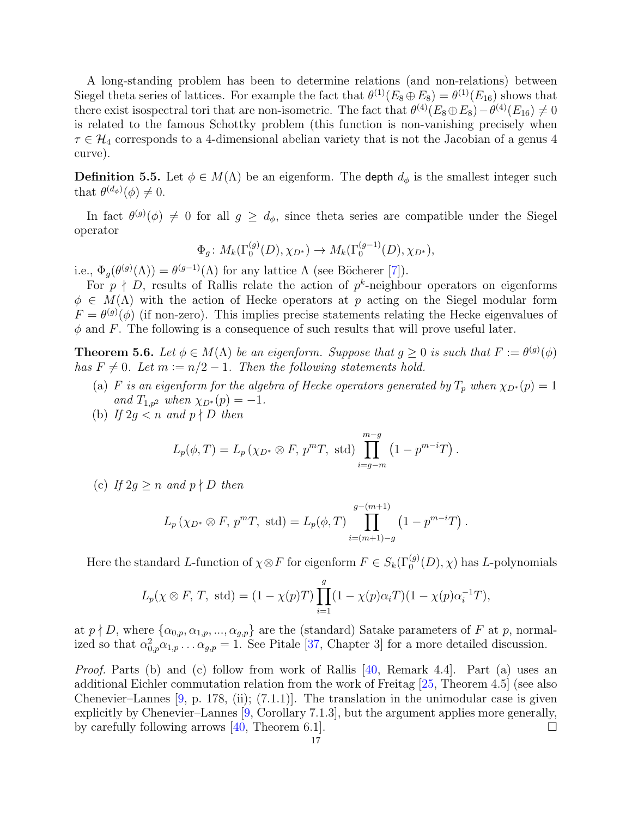A long-standing problem has been to determine relations (and non-relations) between Siegel theta series of lattices. For example the fact that  $\theta^{(1)}(E_8 \oplus E_8) = \theta^{(1)}(E_{16})$  shows that there exist isospectral tori that are non-isometric. The fact that  $\theta^{(4)}(E_8 \oplus E_8) - \theta^{(4)}(E_{16}) \neq 0$ is related to the famous Schottky problem (this function is non-vanishing precisely when  $\tau \in \mathcal{H}_4$  corresponds to a 4-dimensional abelian variety that is not the Jacobian of a genus 4 curve).

**Definition 5.5.** Let  $\phi \in M(\Lambda)$  be an eigenform. The depth  $d_{\phi}$  is the smallest integer such that  $\theta^{(d_{\phi})}(\phi) \neq 0$ .

In fact  $\theta^{(g)}(\phi) \neq 0$  for all  $g \geq d_{\phi}$ , since theta series are compatible under the Siegel operator

$$
\Phi_g \colon M_k(\Gamma_0^{(g)}(D), \chi_{D^*}) \to M_k(\Gamma_0^{(g-1)}(D), \chi_{D^*}),
$$

i.e.,  $\Phi_g(\theta^{(g)}(\Lambda)) = \theta^{(g-1)}(\Lambda)$  for any lattice  $\Lambda$  (see Böcherer [\[7\]](#page-29-19)).

For  $p \nmid D$ , results of Rallis relate the action of  $p^k$ -neighbour operators on eigenforms  $\phi \in M(\Lambda)$  with the action of Hecke operators at p acting on the Siegel modular form  $F = \theta^{(g)}(\phi)$  (if non-zero). This implies precise statements relating the Hecke eigenvalues of  $\phi$  and F. The following is a consequence of such results that will prove useful later.

<span id="page-16-0"></span>**Theorem 5.6.** Let  $\phi \in M(\Lambda)$  be an eigenform. Suppose that  $g \geq 0$  is such that  $F := \theta^{(g)}(\phi)$ has  $F \neq 0$ . Let  $m := n/2 - 1$ . Then the following statements hold.

- (a) F is an eigenform for the algebra of Hecke operators generated by  $T_p$  when  $\chi_{D^*}(p) = 1$ and  $T_{1,p^2}$  when  $\chi_{D^*}(p) = -1$ .
- (b) If  $2g < n$  and  $p \nmid D$  then

$$
L_p(\phi, T) = L_p(\chi_{D^*} \otimes F, p^m T, \text{ std}) \prod_{i=g-m}^{m-g} (1 - p^{m-i} T).
$$

(c) If  $2q \ge n$  and  $p \nmid D$  then

$$
L_p(\chi_{D^*} \otimes F, p^m T, \text{ std}) = L_p(\phi, T) \prod_{i=(m+1)-g}^{g-(m+1)} (1 - p^{m-i} T).
$$

Here the standard L-function of  $\chi \otimes F$  for eigenform  $F \in S_k(\Gamma_0^{(g)}(D), \chi)$  has L-polynomials

$$
L_p(\chi \otimes F, T, \text{ std}) = (1 - \chi(p)T) \prod_{i=1}^g (1 - \chi(p) \alpha_i T)(1 - \chi(p) \alpha_i^{-1} T),
$$

at  $p \nmid D$ , where  $\{\alpha_{0,p}, \alpha_{1,p}, ..., \alpha_{g,p}\}\$  are the (standard) Satake parameters of F at p, normalized so that  $\alpha_{0,p}^2 \alpha_{1,p} \ldots \alpha_{g,p} = 1$ . See Pitale [\[37,](#page-30-13) Chapter 3] for a more detailed discussion.

Proof. Parts (b) and (c) follow from work of Rallis [\[40,](#page-30-14) Remark 4.4]. Part (a) uses an additional Eichler commutation relation from the work of Freitag [\[25,](#page-30-15) Theorem 4.5] (see also Chenevier–Lannes  $[9, p. 178, (ii); (7.1.1)]$ . The translation in the unimodular case is given explicitly by Chenevier–Lannes [\[9,](#page-29-3) Corollary 7.1.3], but the argument applies more generally, by carefully following arrows [\[40,](#page-30-14) Theorem 6.1].  $\Box$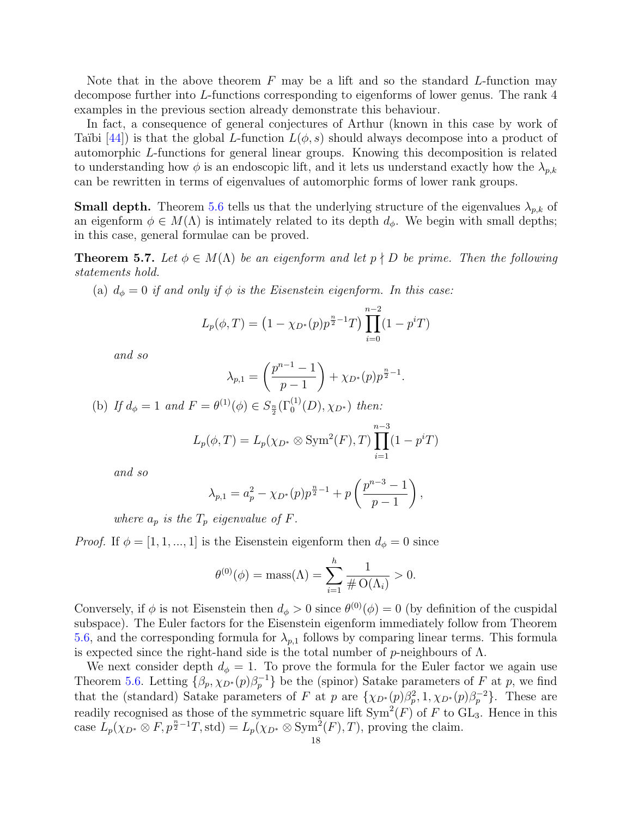Note that in the above theorem  $F$  may be a lift and so the standard L-function may decompose further into L-functions corresponding to eigenforms of lower genus. The rank 4 examples in the previous section already demonstrate this behaviour.

In fact, a consequence of general conjectures of Arthur (known in this case by work of Taïbi [\[44\]](#page-30-16)) is that the global L-function  $L(\phi, s)$  should always decompose into a product of automorphic L-functions for general linear groups. Knowing this decomposition is related to understanding how  $\phi$  is an endoscopic lift, and it lets us understand exactly how the  $\lambda_{n,k}$ can be rewritten in terms of eigenvalues of automorphic forms of lower rank groups.

<span id="page-17-1"></span>**Small depth.** Theorem [5.6](#page-16-0) tells us that the underlying structure of the eigenvalues  $\lambda_{p,k}$  of an eigenform  $\phi \in M(\Lambda)$  is intimately related to its depth  $d_{\phi}$ . We begin with small depths; in this case, general formulae can be proved.

<span id="page-17-0"></span>**Theorem 5.7.** Let  $\phi \in M(\Lambda)$  be an eigenform and let  $p \nmid D$  be prime. Then the following statements hold.

(a)  $d_{\phi} = 0$  if and only if  $\phi$  is the Eisenstein eigenform. In this case:

$$
L_p(\phi, T) = \left(1 - \chi_{D^*}(p)p^{\frac{n}{2}-1}T\right) \prod_{i=0}^{n-2} (1 - p^i T)
$$

and so

$$
\lambda_{p,1} = \left(\frac{p^{n-1} - 1}{p - 1}\right) + \chi_{D^*}(p)p^{\frac{n}{2} - 1}.
$$

(b) If  $d_{\phi} = 1$  and  $F = \theta^{(1)}(\phi) \in S_{\frac{n}{2}}(\Gamma_0^{(1)}(D), \chi_{D^*})$  then:

$$
L_p(\phi, T) = L_p(\chi_{D^*} \otimes \text{Sym}^2(F), T) \prod_{i=1}^{n-3} (1 - p^i T)
$$

and so

$$
\lambda_{p,1} = a_p^2 - \chi_{D^*}(p)p^{\frac{n}{2}-1} + p\left(\frac{p^{n-3}-1}{p-1}\right),
$$

where  $a_p$  is the  $T_p$  eigenvalue of F.

*Proof.* If  $\phi = [1, 1, ..., 1]$  is the Eisenstein eigenform then  $d_{\phi} = 0$  since

$$
\theta^{(0)}(\phi) = \text{mass}(\Lambda) = \sum_{i=1}^{h} \frac{1}{\# O(\Lambda_i)} > 0.
$$

Conversely, if  $\phi$  is not Eisenstein then  $d_{\phi} > 0$  since  $\theta^{(0)}(\phi) = 0$  (by definition of the cuspidal subspace). The Euler factors for the Eisenstein eigenform immediately follow from Theorem [5.6,](#page-16-0) and the corresponding formula for  $\lambda_{p,1}$  follows by comparing linear terms. This formula is expected since the right-hand side is the total number of  $p$ -neighbours of  $\Lambda$ .

We next consider depth  $d_{\phi} = 1$ . To prove the formula for the Euler factor we again use Theorem [5.6.](#page-16-0) Letting  $\{\beta_p, \chi_{D^*}(p)\beta_p^{-1}\}\$  be the (spinor) Satake parameters of F at p, we find that the (standard) Satake parameters of F at p are  $\{\chi_{D^*}(p)\beta_p^2, 1, \chi_{D^*}(p)\beta_p^{-2}\}.$  These are readily recognised as those of the symmetric square lift  $\text{Sym}^2(F)$  of F to  $\text{GL}_3$ . Hence in this case  $L_p(\chi_{D^*} \otimes F, p^{\frac{n}{2}-1}T, \text{std}) = L_p(\chi_{D^*} \otimes \text{Sym}^2(F), T)$ , proving the claim.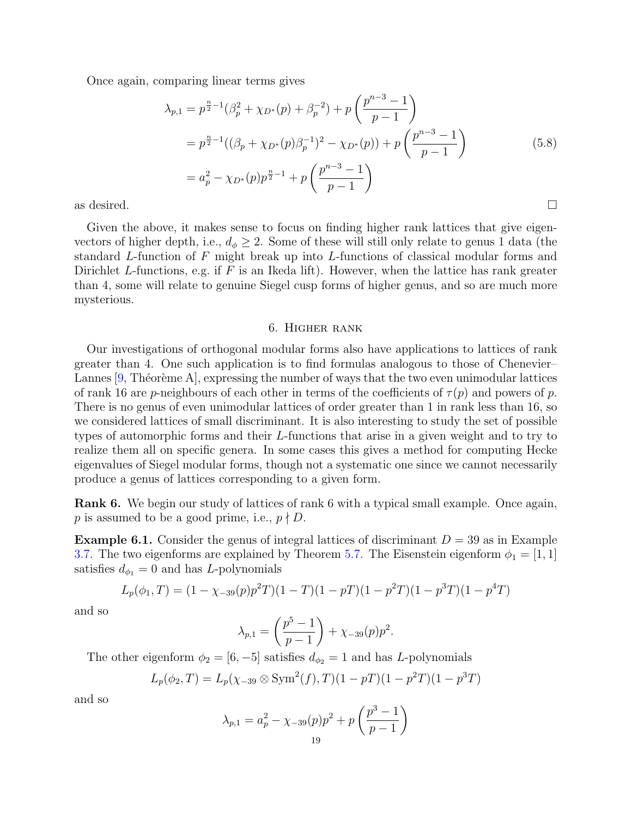Once again, comparing linear terms gives

$$
\lambda_{p,1} = p^{\frac{n}{2}-1}(\beta_p^2 + \chi_{D^*}(p) + \beta_p^{-2}) + p\left(\frac{p^{n-3}-1}{p-1}\right)
$$
  
\n
$$
= p^{\frac{n}{2}-1}((\beta_p + \chi_{D^*}(p)\beta_p^{-1})^2 - \chi_{D^*}(p)) + p\left(\frac{p^{n-3}-1}{p-1}\right)
$$
  
\n
$$
= a_p^2 - \chi_{D^*}(p)p^{\frac{n}{2}-1} + p\left(\frac{p^{n-3}-1}{p-1}\right)
$$
  
\nas desired.

Given the above, it makes sense to focus on finding higher rank lattices that give eigenvectors of higher depth, i.e.,  $d_{\phi} \geq 2$ . Some of these will still only relate to genus 1 data (the standard L-function of  $F$  might break up into L-functions of classical modular forms and Dirichlet L-functions, e.g. if  $F$  is an Ikeda lift). However, when the lattice has rank greater than 4, some will relate to genuine Siegel cusp forms of higher genus, and so are much more mysterious.

#### 6. Higher rank

<span id="page-18-0"></span>Our investigations of orthogonal modular forms also have applications to lattices of rank greater than 4. One such application is to find formulas analogous to those of Chenevier– Lannes  $[9,$  Théorème A], expressing the number of ways that the two even unimodular lattices of rank 16 are p-neighbours of each other in terms of the coefficients of  $\tau(p)$  and powers of p. There is no genus of even unimodular lattices of order greater than 1 in rank less than 16, so we considered lattices of small discriminant. It is also interesting to study the set of possible types of automorphic forms and their L-functions that arise in a given weight and to try to realize them all on specific genera. In some cases this gives a method for computing Hecke eigenvalues of Siegel modular forms, though not a systematic one since we cannot necessarily produce a genus of lattices corresponding to a given form.

Rank 6. We begin our study of lattices of rank 6 with a typical small example. Once again, p is assumed to be a good prime, i.e.,  $p \nmid D$ .

**Example 6.1.** Consider the genus of integral lattices of discriminant  $D = 39$  as in Example [3.7.](#page-9-0) The two eigenforms are explained by Theorem [5.7.](#page-17-0) The Eisenstein eigenform  $\phi_1 = [1, 1]$ satisfies  $d_{\phi_1} = 0$  and has L-polynomials

$$
L_p(\phi_1, T) = (1 - \chi_{-39}(p)p^2T)(1 - T)(1 - pT)(1 - p^2T)(1 - p^3T)(1 - p^4T)
$$

and so

$$
\lambda_{p,1} = \left(\frac{p^5 - 1}{p - 1}\right) + \chi_{-39}(p)p^2.
$$

The other eigenform  $\phi_2 = [6, -5]$  satisfies  $d_{\phi_2} = 1$  and has L-polynomials

$$
L_p(\phi_2, T) = L_p(\chi_{-39} \otimes \text{Sym}^2(f), T)(1 - pT)(1 - p^2T)(1 - p^3T)
$$

and so

$$
\lambda_{p,1} = a_p^2 - \chi_{-39}(p)p^2 + p\left(\frac{p^3 - 1}{p - 1}\right)
$$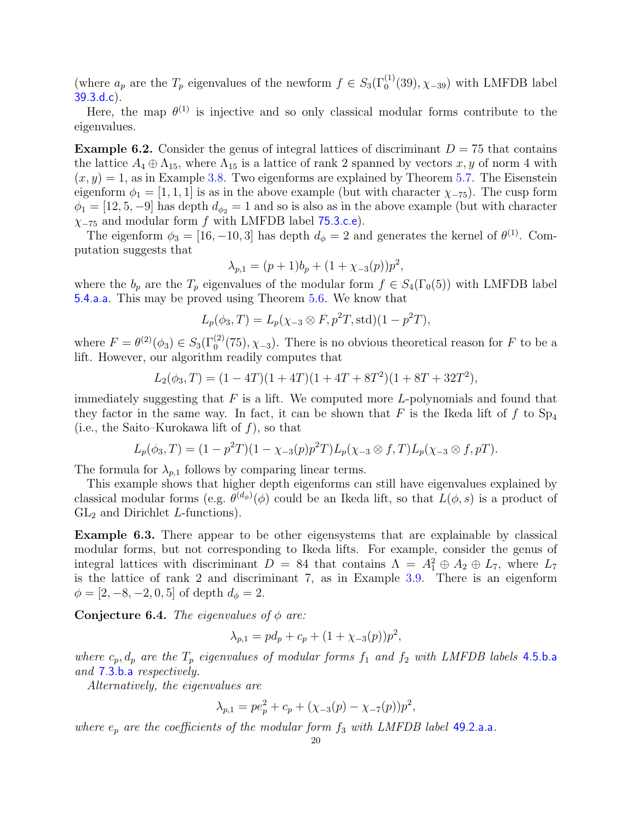(where  $a_p$  are the  $T_p$  eigenvalues of the newform  $f \in S_3(\Gamma_0^{(1)}(39), \chi_{-39})$  with LMFDB label [39.3.d.c](https://www.lmfdb.org/ModularForm/GL2/Q/holomorphic/39/3/d/c/)).

Here, the map  $\theta^{(1)}$  is injective and so only classical modular forms contribute to the eigenvalues.

<span id="page-19-0"></span>**Example 6.2.** Consider the genus of integral lattices of discriminant  $D = 75$  that contains the lattice  $A_4 \oplus \Lambda_{15}$ , where  $\Lambda_{15}$  is a lattice of rank 2 spanned by vectors  $x, y$  of norm 4 with  $(x, y) = 1$ , as in Example [3.8.](#page-9-2) Two eigenforms are explained by Theorem 5.[7.](#page-17-0) The Eisenstein eigenform  $\phi_1 = [1, 1, 1]$  is as in the above example (but with character  $\chi_{-75}$ ). The cusp form  $\phi_1 = [12, 5, -9]$  has depth  $d_{\phi_2} = 1$  and so is also as in the above example (but with character  $\chi$ -75 and modular form f with LMFDB label [75.3.c.e](https://www.lmfdb.org/ModularForm/GL2/Q/holomorphic/75/3/c/e/)).

The eigenform  $\phi_3 = [16, -10, 3]$  has depth  $d_{\phi} = 2$  and generates the kernel of  $\theta^{(1)}$ . Computation suggests that

$$
\lambda_{p,1} = (p+1)b_p + (1 + \chi_{-3}(p))p^2,
$$

where the  $b_p$  are the  $T_p$  eigenvalues of the modular form  $f \in S_4(\Gamma_0(5))$  with LMFDB label [5.4.a.a](https://www.lmfdb.org/ModularForm/GL2/Q/holomorphic/5/4/a/a/). This may be proved using Theorem [5.6.](#page-16-0) We know that

$$
L_p(\phi_3, T) = L_p(\chi_{-3} \otimes F, p^2T, \text{std})(1 - p^2T),
$$

where  $F = \theta^{(2)}(\phi_3) \in S_3(\Gamma_0^{(2)}(75), \chi_{-3})$ . There is no obvious theoretical reason for F to be a lift. However, our algorithm readily computes that

$$
L_2(\phi_3, T) = (1 - 4T)(1 + 4T)(1 + 4T + 8T^2)(1 + 8T + 32T^2),
$$

immediately suggesting that  $F$  is a lift. We computed more  $L$ -polynomials and found that they factor in the same way. In fact, it can be shown that F is the Ikeda lift of f to  $Sp_4$ (i.e., the Saito–Kurokawa lift of  $f$ ), so that

$$
L_p(\phi_3, T) = (1 - p^2 T)(1 - \chi_{-3}(p)p^2 T)L_p(\chi_{-3} \otimes f, T)L_p(\chi_{-3} \otimes f, pT).
$$

The formula for  $\lambda_{p,1}$  follows by comparing linear terms.

This example shows that higher depth eigenforms can still have eigenvalues explained by classical modular forms (e.g.  $\theta^{(d_{\phi})}(\phi)$  could be an Ikeda lift, so that  $L(\phi, s)$  is a product of  $GL<sub>2</sub>$  and Dirichlet L-functions).

Example 6.3. There appear to be other eigensystems that are explainable by classical modular forms, but not corresponding to Ikeda lifts. For example, consider the genus of integral lattices with discriminant  $D = 84$  that contains  $\Lambda = A_1^2 \oplus A_2 \oplus L_7$ , where  $L_7$ is the lattice of rank 2 and discriminant 7, as in Example [3.9.](#page-10-6) There is an eigenform  $\phi = [2, -8, -2, 0, 5]$  of depth  $d_{\phi} = 2$ .

Conjecture 6.4. The eigenvalues of  $\phi$  are:

$$
\lambda_{p,1} = pd_p + c_p + (1 + \chi_{-3}(p))p^2,
$$

where  $c_p, d_p$  are the  $T_p$  eigenvalues of modular forms  $f_1$  and  $f_2$  with LMFDB labels [4.5.b.a](https://www.lmfdb.org/ModularForm/GL2/Q/holomorphic/4/5/b/a/) and [7.3.b.a](https://www.lmfdb.org/ModularForm/GL2/Q/holomorphic/7/3/b/a/) respectively.

Alternatively, the eigenvalues are

$$
\lambda_{p,1} = p e_p^2 + c_p + (\chi_{-3}(p) - \chi_{-7}(p)) p^2,
$$

where  $e_p$  are the coefficients of the modular form  $f_3$  with LMFDB label [49.2.a.a](https://www.lmfdb.org/ModularForm/GL2/Q/holomorphic/49/2/a/a/).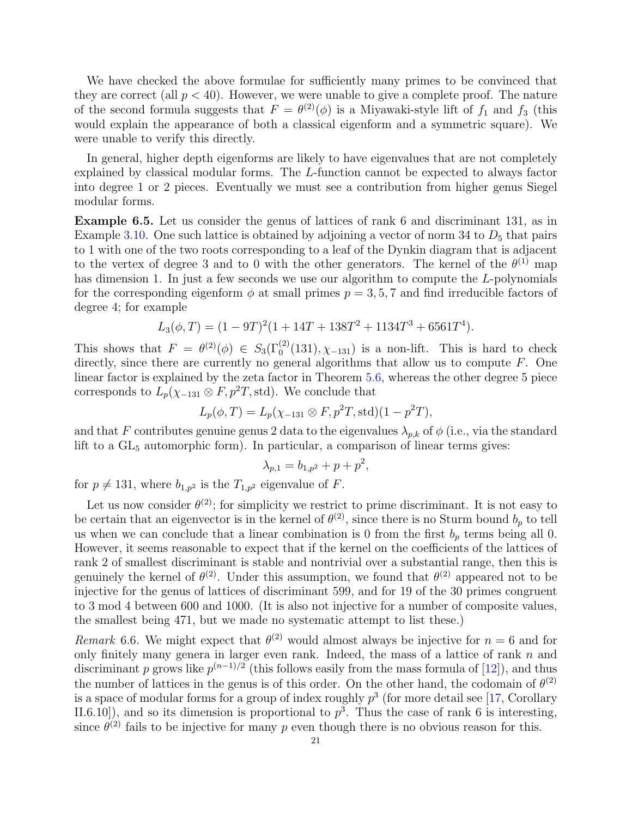We have checked the above formulae for sufficiently many primes to be convinced that they are correct (all  $p < 40$ ). However, we were unable to give a complete proof. The nature of the second formula suggests that  $F = \theta^{(2)}(\phi)$  is a Miyawaki-style lift of  $f_1$  and  $f_3$  (this would explain the appearance of both a classical eigenform and a symmetric square). We were unable to verify this directly.

In general, higher depth eigenforms are likely to have eigenvalues that are not completely explained by classical modular forms. The L-function cannot be expected to always factor into degree 1 or 2 pieces. Eventually we must see a contribution from higher genus Siegel modular forms.

Example 6.5. Let us consider the genus of lattices of rank 6 and discriminant 131, as in Example [3.10.](#page-10-7) One such lattice is obtained by adjoining a vector of norm 34 to  $D_5$  that pairs to 1 with one of the two roots corresponding to a leaf of the Dynkin diagram that is adjacent to the vertex of degree 3 and to 0 with the other generators. The kernel of the  $\theta^{(1)}$  map has dimension 1. In just a few seconds we use our algorithm to compute the L-polynomials for the corresponding eigenform  $\phi$  at small primes  $p = 3, 5, 7$  and find irreducible factors of degree 4; for example

$$
L_3(\phi, T) = (1 - 9T)^2 (1 + 14T + 138T^2 + 1134T^3 + 6561T^4).
$$

This shows that  $F = \theta^{(2)}(\phi) \in S_3(\Gamma_0^{(2)}(131), \chi_{-131})$  is a non-lift. This is hard to check directly, since there are currently no general algorithms that allow us to compute  $F$ . One linear factor is explained by the zeta factor in Theorem [5.6,](#page-16-0) whereas the other degree 5 piece corresponds to  $L_p(\chi_{-131} \otimes F, p^2T, \text{std})$ . We conclude that

$$
L_p(\phi, T) = L_p(\chi_{-131} \otimes F, p^2T, \text{std})(1 - p^2T),
$$

and that F contributes genuine genus 2 data to the eigenvalues  $\lambda_{p,k}$  of  $\phi$  (i.e., via the standard lift to a  $GL_5$  automorphic form). In particular, a comparison of linear terms gives:

$$
\lambda_{p,1} = b_{1,p^2} + p + p^2,
$$

for  $p \neq 131$ , where  $b_{1,p^2}$  is the  $T_{1,p^2}$  eigenvalue of F.

Let us now consider  $\theta^{(2)}$ ; for simplicity we restrict to prime discriminant. It is not easy to be certain that an eigenvector is in the kernel of  $\theta^{(2)}$ , since there is no Sturm bound  $b_p$  to tell us when we can conclude that a linear combination is 0 from the first  $b_p$  terms being all 0. However, it seems reasonable to expect that if the kernel on the coefficients of the lattices of rank 2 of smallest discriminant is stable and nontrivial over a substantial range, then this is genuinely the kernel of  $\theta^{(2)}$ . Under this assumption, we found that  $\theta^{(2)}$  appeared not to be injective for the genus of lattices of discriminant 599, and for 19 of the 30 primes congruent to 3 mod 4 between 600 and 1000. (It is also not injective for a number of composite values, the smallest being 471, but we made no systematic attempt to list these.)

Remark 6.6. We might expect that  $\theta^{(2)}$  would almost always be injective for  $n = 6$  and for only finitely many genera in larger even rank. Indeed, the mass of a lattice of rank  $n$  and discriminant p grows like  $p^{(n-1)/2}$  (this follows easily from the mass formula of [\[12\]](#page-29-20)), and thus the number of lattices in the genus is of this order. On the other hand, the codomain of  $\theta^{(2)}$ is a space of modular forms for a group of index roughly  $p^3$  (for more detail see [\[17,](#page-29-21) Corollary II.6.10]), and so its dimension is proportional to  $p^3$ . Thus the case of rank 6 is interesting, since  $\theta^{(2)}$  fails to be injective for many p even though there is no obvious reason for this.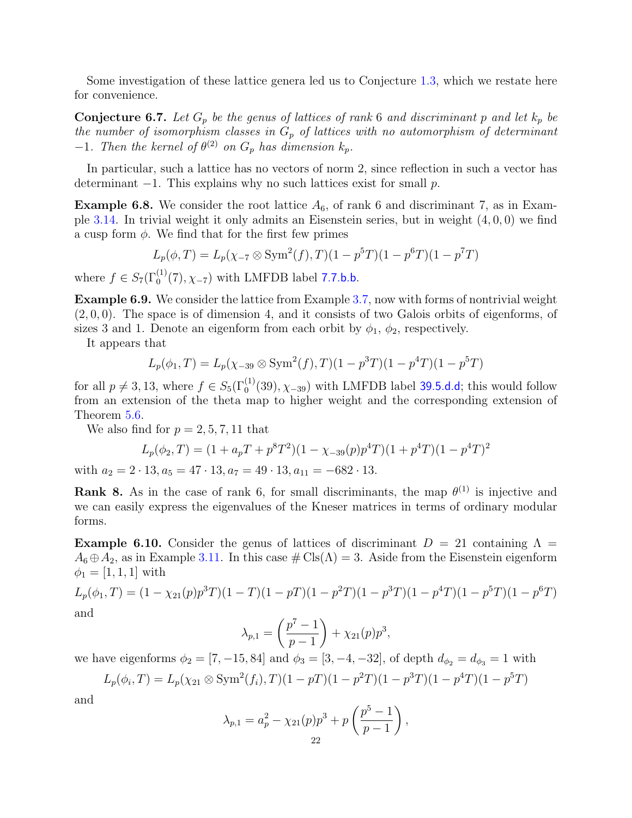Some investigation of these lattice genera led us to Conjecture [1.3,](#page-2-1) which we restate here for convenience.

**Conjecture 6.7.** Let  $G_p$  be the genus of lattices of rank 6 and discriminant p and let  $k_p$  be the number of isomorphism classes in  $G_p$  of lattices with no automorphism of determinant  $-1$ . Then the kernel of  $\theta^{(2)}$  on  $G_p$  has dimension  $k_p$ .

In particular, such a lattice has no vectors of norm 2, since reflection in such a vector has determinant  $-1$ . This explains why no such lattices exist for small p.

**Example 6.8.** We consider the root lattice  $A_6$ , of rank 6 and discriminant 7, as in Exam-ple [3.14.](#page-11-1) In trivial weight it only admits an Eisenstein series, but in weight  $(4, 0, 0)$  we find a cusp form  $\phi$ . We find that for the first few primes

$$
L_p(\phi, T) = L_p(\chi_{-7} \otimes \text{Sym}^2(f), T)(1 - p^5T)(1 - p^6T)(1 - p^7T)
$$

where  $f \in S_7(\Gamma_0^{(1)}(7), \chi_{-7})$  with LMFDB label [7.7.b.b](https://www.lmfdb.org/ModularForm/GL2/Q/holomorphic/7/7/b/b/).

Example 6.9. We consider the lattice from Example [3.7,](#page-9-0) now with forms of nontrivial weight  $(2, 0, 0)$ . The space is of dimension 4, and it consists of two Galois orbits of eigenforms, of sizes 3 and 1. Denote an eigenform from each orbit by  $\phi_1$ ,  $\phi_2$ , respectively.

It appears that

$$
L_p(\phi_1, T) = L_p(\chi_{-39} \otimes \text{Sym}^2(f), T)(1 - p^3T)(1 - p^4T)(1 - p^5T)
$$

for all  $p \neq 3, 13$ , where  $f \in S_5(\Gamma_0^{(1)}(39), \chi_{-39})$  with LMFDB label [39.5.d.d](https://www.lmfdb.org/ModularForm/GL2/Q/holomorphic/39/5/d/d/); this would follow from an extension of the theta map to higher weight and the corresponding extension of Theorem [5.6.](#page-16-0)

We also find for  $p = 2, 5, 7, 11$  that

$$
L_p(\phi_2, T) = (1 + a_p T + p^8 T^2)(1 - \chi_{-39}(p)p^4 T)(1 + p^4 T)(1 - p^4 T)^2
$$

with  $a_2 = 2 \cdot 13$ ,  $a_5 = 47 \cdot 13$ ,  $a_7 = 49 \cdot 13$ ,  $a_{11} = -682 \cdot 13$ .

**Rank 8.** As in the case of rank 6, for small discriminants, the map  $\theta^{(1)}$  is injective and we can easily express the eigenvalues of the Kneser matrices in terms of ordinary modular forms.

<span id="page-21-0"></span>**Example 6.10.** Consider the genus of lattices of discriminant  $D = 21$  containing  $\Lambda =$  $A_6 \oplus A_2$ , as in Example [3.11.](#page-10-8) In this case  $\# \text{Cls}(\Lambda) = 3$ . Aside from the Eisenstein eigenform  $\phi_1 = [1, 1, 1]$  with

$$
L_p(\phi_1, T) = (1 - \chi_{21}(p)p^3T)(1 - T)(1 - pT)(1 - p^2T)(1 - p^3T)(1 - p^4T)(1 - p^5T)(1 - p^6T)
$$
  
and

$$
\lambda_{p,1} = \left(\frac{p^7 - 1}{p - 1}\right) + \chi_{21}(p)p^3,
$$

we have eigenforms  $\phi_2 = [7, -15, 84]$  and  $\phi_3 = [3, -4, -32]$ , of depth  $d_{\phi_2} = d_{\phi_3} = 1$  with

$$
L_p(\phi_i, T) = L_p(\chi_{21} \otimes \text{Sym}^2(f_i), T)(1 - pT)(1 - p^2T)(1 - p^3T)(1 - p^4T)(1 - p^5T)
$$

and

$$
\lambda_{p,1} = a_p^2 - \chi_{21}(p)p^3 + p\left(\frac{p^5 - 1}{p - 1}\right),\,
$$
  
22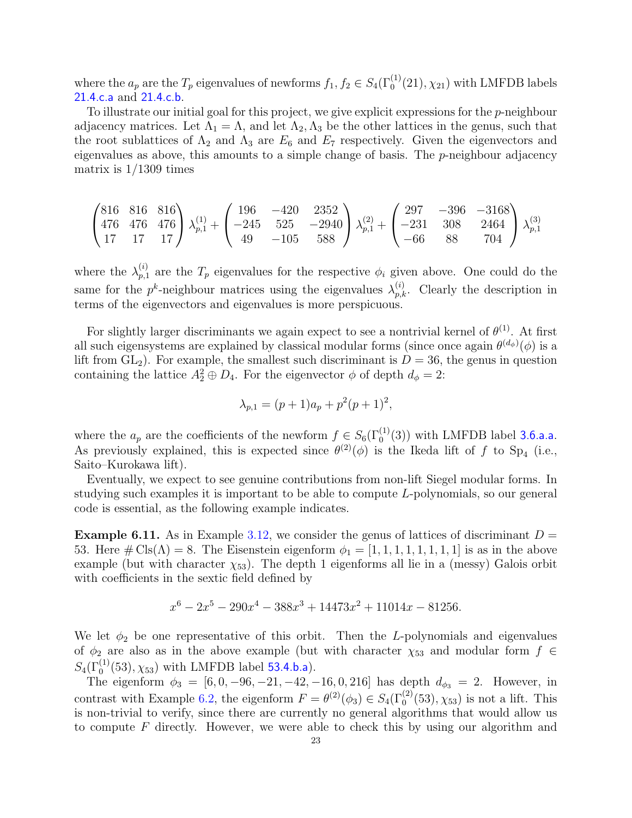where the  $a_p$  are the  $T_p$  eigenvalues of newforms  $f_1, f_2 \in S_4(\Gamma_0^{(1)}(21), \chi_{21})$  with LMFDB labels [21.4.c.a](https://www.lmfdb.org/ModularForm/GL2/Q/holomorphic/21/4/c/a/) and [21.4.c.b](https://www.lmfdb.org/ModularForm/GL2/Q/holomorphic/21/4/c/b/).

To illustrate our initial goal for this project, we give explicit expressions for the  $p$ -neighbour adjacency matrices. Let  $\Lambda_1 = \Lambda$ , and let  $\Lambda_2, \Lambda_3$  be the other lattices in the genus, such that the root sublattices of  $\Lambda_2$  and  $\Lambda_3$  are  $E_6$  and  $E_7$  respectively. Given the eigenvectors and eigenvalues as above, this amounts to a simple change of basis. The  $p$ -neighbour adjacency matrix is  $1/1309$  times

$$
\begin{pmatrix} 816 & 816 & 816 \ 476 & 476 & 476 \ 17 & 17 & 17 \end{pmatrix} \lambda_{p,1}^{(1)} + \begin{pmatrix} 196 & -420 & 2352 \ -245 & 525 & -2940 \ 49 & -105 & 588 \end{pmatrix} \lambda_{p,1}^{(2)} + \begin{pmatrix} 297 & -396 & -3168 \ -231 & 308 & 2464 \ -66 & 88 & 704 \end{pmatrix} \lambda_{p,1}^{(3)}
$$

where the  $\lambda_{n,1}^{(i)}$  $p_{p,1}^{(i)}$  are the  $T_p$  eigenvalues for the respective  $\phi_i$  given above. One could do the same for the  $p^k$ -neighbour matrices using the eigenvalues  $\lambda_{p,k}^{(i)}$ . Clearly the description in terms of the eigenvectors and eigenvalues is more perspicuous.

For slightly larger discriminants we again expect to see a nontrivial kernel of  $\theta^{(1)}$ . At first all such eigensystems are explained by classical modular forms (since once again  $\theta^{(d_{\phi})}(\phi)$  is a lift from  $GL_2$ ). For example, the smallest such discriminant is  $D = 36$ , the genus in question containing the lattice  $A_2^2 \oplus D_4$ . For the eigenvector  $\phi$  of depth  $d_{\phi} = 2$ :

$$
\lambda_{p,1} = (p+1)a_p + p^2(p+1)^2,
$$

where the  $a_p$  are the coefficients of the newform  $f \in S_6(\Gamma_0^{(1)}(3))$  with LMFDB label [3.6.a.a](https://www.lmfdb.org/ModularForm/GL2/Q/holomorphic/3/6/a/a/). As previously explained, this is expected since  $\theta^{(2)}(\phi)$  is the Ikeda lift of f to Sp<sub>4</sub> (i.e., Saito–Kurokawa lift).

Eventually, we expect to see genuine contributions from non-lift Siegel modular forms. In studying such examples it is important to be able to compute L-polynomials, so our general code is essential, as the following example indicates.

**Example 6.11.** As in Example [3.12,](#page-10-9) we consider the genus of lattices of discriminant  $D =$ 53. Here  $\#\text{Cls}(\Lambda) = 8$ . The Eisenstein eigenform  $\phi_1 = [1, 1, 1, 1, 1, 1, 1, 1]$  is as in the above example (but with character  $\chi_{53}$ ). The depth 1 eigenforms all lie in a (messy) Galois orbit with coefficients in the sextic field defined by

$$
x^{6} - 2x^{5} - 290x^{4} - 388x^{3} + 14473x^{2} + 11014x - 81256.
$$

We let  $\phi_2$  be one representative of this orbit. Then the L-polynomials and eigenvalues of  $\phi_2$  are also as in the above example (but with character  $\chi_{53}$  and modular form  $f \in$  $S_4(\Gamma_0^{(1)}(53), \chi_{53})$  with LMFDB label [53.4.b.a](https://www.lmfdb.org/ModularForm/GL2/Q/holomorphic/53/4/b/a/)).

The eigenform  $\phi_3 = [6, 0, -96, -21, -42, -16, 0, 216]$  has depth  $d_{\phi_3} = 2$ . However, in contrast with Example [6.2,](#page-19-0) the eigenform  $F = \theta^{(2)}(\phi_3) \in S_4(\Gamma_0^{(2)}(53), \chi_{53})$  is not a lift. This is non-trivial to verify, since there are currently no general algorithms that would allow us to compute F directly. However, we were able to check this by using our algorithm and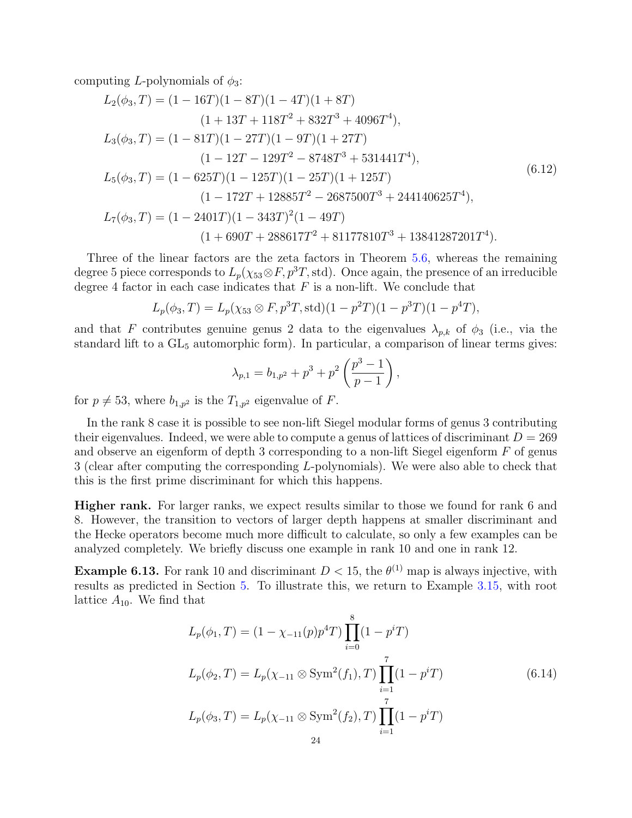computing L-polynomials of  $\phi_3$ :

$$
L_2(\phi_3, T) = (1 - 16T)(1 - 8T)(1 - 4T)(1 + 8T)
$$
  
\n
$$
(1 + 13T + 118T^2 + 832T^3 + 4096T^4),
$$
  
\n
$$
L_3(\phi_3, T) = (1 - 81T)(1 - 27T)(1 - 9T)(1 + 27T)
$$
  
\n
$$
(1 - 12T - 129T^2 - 8748T^3 + 531441T^4),
$$
  
\n
$$
L_5(\phi_3, T) = (1 - 625T)(1 - 125T)(1 - 25T)(1 + 125T)
$$
  
\n
$$
(1 - 172T + 12885T^2 - 2687500T^3 + 244140625T^4),
$$
  
\n
$$
L_7(\phi_3, T) = (1 - 2401T)(1 - 343T)^2(1 - 49T)
$$
  
\n
$$
(1 + 690T + 288617T^2 + 81177810T^3 + 13841287201T^4).
$$
  
\n(6.12)

Three of the linear factors are the zeta factors in Theorem [5.6,](#page-16-0) whereas the remaining degree 5 piece corresponds to  $L_p(\chi_{53} \otimes F, p^3T, \text{std})$ . Once again, the presence of an irreducible degree 4 factor in each case indicates that  $F$  is a non-lift. We conclude that

$$
L_p(\phi_3, T) = L_p(\chi_{53} \otimes F, p^3T, \text{std})(1 - p^2T)(1 - p^3T)(1 - p^4T),
$$

and that F contributes genuine genus 2 data to the eigenvalues  $\lambda_{p,k}$  of  $\phi_3$  (i.e., via the standard lift to a  $GL_5$  automorphic form). In particular, a comparison of linear terms gives:

$$
\lambda_{p,1} = b_{1,p^2} + p^3 + p^2 \left(\frac{p^3 - 1}{p - 1}\right),
$$

for  $p \neq 53$ , where  $b_{1,p^2}$  is the  $T_{1,p^2}$  eigenvalue of F.

In the rank 8 case it is possible to see non-lift Siegel modular forms of genus 3 contributing their eigenvalues. Indeed, we were able to compute a genus of lattices of discriminant  $D = 269$ and observe an eigenform of depth 3 corresponding to a non-lift Siegel eigenform  $F$  of genus 3 (clear after computing the corresponding L-polynomials). We were also able to check that this is the first prime discriminant for which this happens.

Higher rank. For larger ranks, we expect results similar to those we found for rank 6 and 8. However, the transition to vectors of larger depth happens at smaller discriminant and the Hecke operators become much more difficult to calculate, so only a few examples can be analyzed completely. We briefly discuss one example in rank 10 and one in rank 12.

<span id="page-23-0"></span>**Example 6.13.** For rank 10 and discriminant  $D < 15$ , the  $\theta^{(1)}$  map is always injective, with results as predicted in Section [5.](#page-17-1) To illustrate this, we return to Example [3.15,](#page-11-2) with root lattice  $A_{10}$ . We find that

$$
L_p(\phi_1, T) = (1 - \chi_{-11}(p)p^4T) \prod_{i=0}^8 (1 - p^i T)
$$
  
\n
$$
L_p(\phi_2, T) = L_p(\chi_{-11} \otimes \text{Sym}^2(f_1), T) \prod_{i=1}^7 (1 - p^i T)
$$
  
\n
$$
L_p(\phi_3, T) = L_p(\chi_{-11} \otimes \text{Sym}^2(f_2), T) \prod_{i=1}^7 (1 - p^i T)
$$
  
\n(6.14)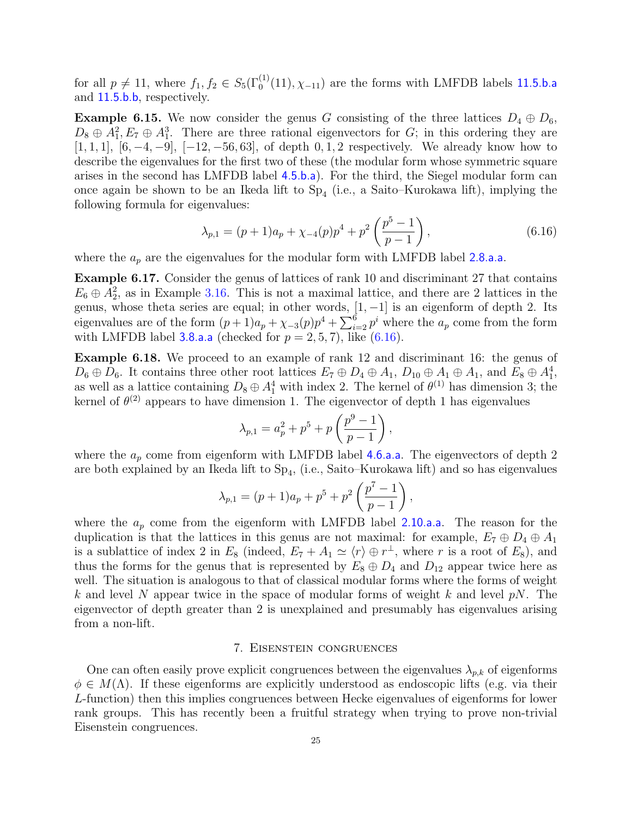for all  $p \neq 11$ , where  $f_1, f_2 \in S_5(\Gamma_0^{(1)}(11), \chi_{-11})$  are the forms with LMFDB labels [11.5.b.a](https://www.lmfdb.org/ModularForm/GL2/Q/holomorphic/11/5/b/a/) and [11.5.b.b](https://www.lmfdb.org/ModularForm/GL2/Q/holomorphic/11/5/b/b/), respectively.

**Example 6.15.** We now consider the genus G consisting of the three lattices  $D_4 \oplus D_6$ ,  $D_8 \oplus A_1^2, E_7 \oplus A_1^3$ . There are three rational eigenvectors for G; in this ordering they are [1, 1, 1], [6, -4, -9], [-12, -56, 63], of depth 0, 1, 2 respectively. We already know how to describe the eigenvalues for the first two of these (the modular form whose symmetric square arises in the second has LMFDB label [4.5.b.a](https://www.lmfdb.org/ModularForm/GL2/Q/holomorphic/4/5/b/a/)). For the third, the Siegel modular form can once again be shown to be an Ikeda lift to  $Sp_4$  (i.e., a Saito–Kurokawa lift), implying the following formula for eigenvalues:

<span id="page-24-1"></span>
$$
\lambda_{p,1} = (p+1)a_p + \chi_{-4}(p)p^4 + p^2 \left(\frac{p^5 - 1}{p - 1}\right),\tag{6.16}
$$

where the  $a_p$  are the eigenvalues for the modular form with LMFDB label [2.8.a.a](https://www.lmfdb.org/ModularForm/GL2/Q/holomorphic/2/8/a/a/).

Example 6.17. Consider the genus of lattices of rank 10 and discriminant 27 that contains  $E_6 \oplus A_2^2$ , as in Example [3.16.](#page-11-3) This is not a maximal lattice, and there are 2 lattices in the genus, whose theta series are equal; in other words,  $[1, -1]$  is an eigenform of depth 2. Its eigenvalues are of the form  $(p+1)a_p + \chi_{-3}(p)p^4 + \sum_{i=2}^6 p^i$  where the  $a_p$  come from the form with LMFDB label [3.8.a.a](https://www.lmfdb.org/ModularForm/GL2/Q/holomorphic/3/8/a/a/) (checked for  $p = 2, 5, 7$ ), like  $(6.16)$ .

Example 6.18. We proceed to an example of rank 12 and discriminant 16: the genus of  $D_6 \oplus D_6$ . It contains three other root lattices  $E_7 \oplus D_4 \oplus A_1$ ,  $D_{10} \oplus A_1 \oplus A_1$ , and  $E_8 \oplus A_1^4$ , as well as a lattice containing  $D_8 \oplus A_1^4$  with index 2. The kernel of  $\theta^{(1)}$  has dimension 3; the kernel of  $\theta^{(2)}$  appears to have dimension 1. The eigenvector of depth 1 has eigenvalues

$$
\lambda_{p,1} = a_p^2 + p^5 + p \left( \frac{p^9 - 1}{p - 1} \right),
$$

where the  $a_p$  come from eigenform with LMFDB label [4.6.a.a](https://www.lmfdb.org/ModularForm/GL2/Q/holomorphic/4/6/a/a/). The eigenvectors of depth 2 are both explained by an Ikeda lift to  $Sp_4$ , (i.e., Saito–Kurokawa lift) and so has eigenvalues

$$
\lambda_{p,1} = (p+1)a_p + p^5 + p^2 \left(\frac{p^7 - 1}{p-1}\right),
$$

where the  $a_p$  come from the eigenform with LMFDB label [2.10.a.a](https://www.lmfdb.org/ModularForm/GL2/Q/holomorphic/2/10/a/a/). The reason for the duplication is that the lattices in this genus are not maximal: for example,  $E_7 \oplus D_4 \oplus A_1$ is a sublattice of index 2 in  $E_8$  (indeed,  $E_7 + A_1 \simeq \langle r \rangle \oplus r^{\perp}$ , where r is a root of  $E_8$ ), and thus the forms for the genus that is represented by  $E_8 \oplus D_4$  and  $D_{12}$  appear twice here as well. The situation is analogous to that of classical modular forms where the forms of weight k and level N appear twice in the space of modular forms of weight k and level  $pN$ . The eigenvector of depth greater than 2 is unexplained and presumably has eigenvalues arising from a non-lift.

## 7. Eisenstein congruences

<span id="page-24-0"></span>One can often easily prove explicit congruences between the eigenvalues  $\lambda_{p,k}$  of eigenforms  $\phi \in M(\Lambda)$ . If these eigenforms are explicitly understood as endoscopic lifts (e.g. via their L-function) then this implies congruences between Hecke eigenvalues of eigenforms for lower rank groups. This has recently been a fruitful strategy when trying to prove non-trivial Eisenstein congruences.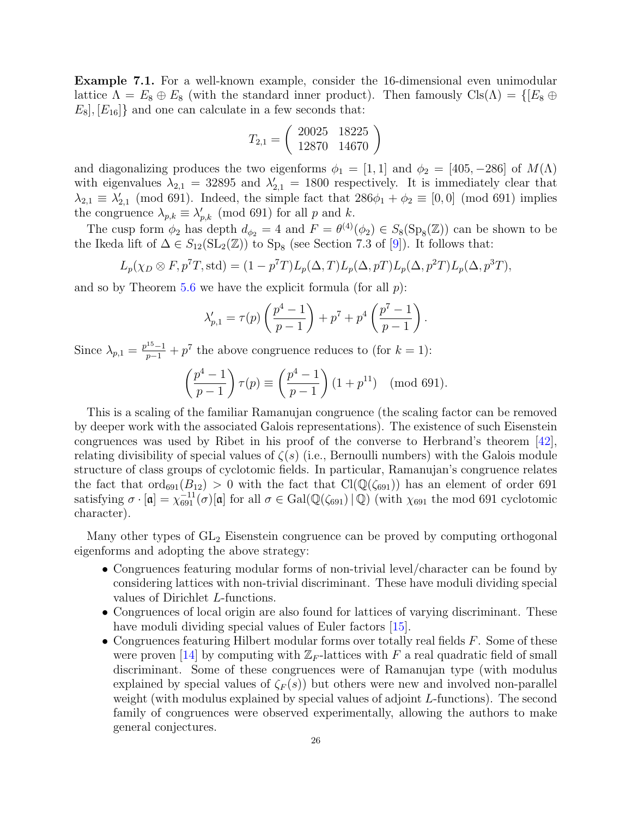<span id="page-25-0"></span>Example 7.1. For a well-known example, consider the 16-dimensional even unimodular lattice  $\Lambda = E_8 \oplus E_8$  (with the standard inner product). Then famously  $\text{Cls}(\Lambda) = \{[E_8 \oplus E_8] \mid E_8 \oplus E_8] \}$  $E_8$ ,  $[E_{16}]$  and one can calculate in a few seconds that:

$$
T_{2,1} = \left(\begin{array}{cc} 20025 & 18225\\ 12870 & 14670 \end{array}\right)
$$

and diagonalizing produces the two eigenforms  $\phi_1 = [1, 1]$  and  $\phi_2 = [405, -286]$  of  $M(\Lambda)$ with eigenvalues  $\lambda_{2,1} = 32895$  and  $\lambda'_{2,1} = 1800$  respectively. It is immediately clear that  $\lambda_{2,1} \equiv \lambda'_{2,1} \pmod{691}$ . Indeed, the simple fact that  $286\phi_1 + \phi_2 \equiv [0,0] \pmod{691}$  implies the congruence  $\lambda_{p,k} \equiv \lambda'_{p,k} \pmod{691}$  for all p and k.

The cusp form  $\phi_2$  has depth  $d_{\phi_2} = 4$  and  $F = \theta^{(4)}(\phi_2) \in S_8(\text{Sp}_8(\mathbb{Z}))$  can be shown to be the Ikeda lift of  $\Delta \in S_{12}(\mathrm{SL}_2(\mathbb{Z}))$  to  $\text{Sp}_8$  (see Section 7.3 of [\[9\]](#page-29-3)). It follows that:

$$
L_p(\chi_D \otimes F, p^7T, \text{std}) = (1 - p^7T)L_p(\Delta, T)L_p(\Delta, pT)L_p(\Delta, p^2T)L_p(\Delta, p^3T),
$$

and so by Theorem  $5.6$  we have the explicit formula (for all  $p$ ):

$$
\lambda'_{p,1} = \tau(p) \left( \frac{p^4 - 1}{p - 1} \right) + p^7 + p^4 \left( \frac{p^7 - 1}{p - 1} \right).
$$

Since  $\lambda_{p,1} = \frac{p^{15}-1}{p-1} + p^7$  the above congruence reduces to (for  $k = 1$ ):

$$
\left(\frac{p^4 - 1}{p - 1}\right)\tau(p) \equiv \left(\frac{p^4 - 1}{p - 1}\right)(1 + p^{11}) \pmod{691}.
$$

This is a scaling of the familiar Ramanujan congruence (the scaling factor can be removed by deeper work with the associated Galois representations). The existence of such Eisenstein congruences was used by Ribet in his proof of the converse to Herbrand's theorem [\[42\]](#page-30-17), relating divisibility of special values of  $\zeta(s)$  (i.e., Bernoulli numbers) with the Galois module structure of class groups of cyclotomic fields. In particular, Ramanujan's congruence relates the fact that  $\text{ord}_{691}(B_{12}) > 0$  with the fact that  $\text{Cl}(\mathbb{Q}(\zeta_{691}))$  has an element of order 691 satisfying  $\sigma \cdot [\mathfrak{a}] = \chi_{691}^{-11}(\sigma)[\mathfrak{a}]$  for all  $\sigma \in \text{Gal}(\mathbb{Q}(\zeta_{691}) \mid \mathbb{Q})$  (with  $\chi_{691}$  the mod 691 cyclotomic character).

Many other types of GL<sup>2</sup> Eisenstein congruence can be proved by computing orthogonal eigenforms and adopting the above strategy:

- Congruences featuring modular forms of non-trivial level/character can be found by considering lattices with non-trivial discriminant. These have moduli dividing special values of Dirichlet L-functions.
- Congruences of local origin are also found for lattices of varying discriminant. These have moduli dividing special values of Euler factors [\[15\]](#page-29-22).
- Congruences featuring Hilbert modular forms over totally real fields  $F$ . Some of these were proven [\[14\]](#page-29-23) by computing with  $\mathbb{Z}_F$ -lattices with F a real quadratic field of small discriminant. Some of these congruences were of Ramanujan type (with modulus explained by special values of  $\zeta_F(s)$  but others were new and involved non-parallel weight (with modulus explained by special values of adjoint L-functions). The second family of congruences were observed experimentally, allowing the authors to make general conjectures.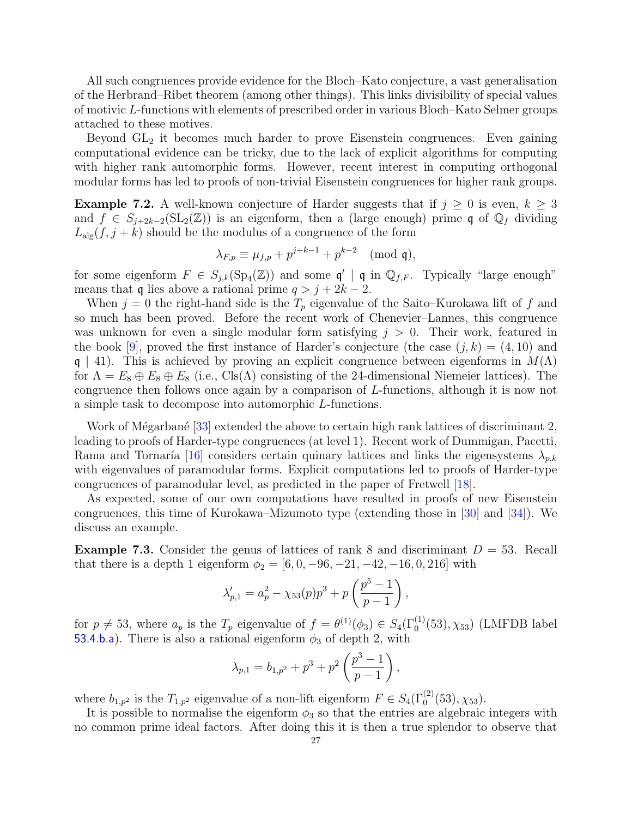All such congruences provide evidence for the Bloch–Kato conjecture, a vast generalisation of the Herbrand–Ribet theorem (among other things). This links divisibility of special values of motivic L-functions with elements of prescribed order in various Bloch–Kato Selmer groups attached to these motives.

Beyond  $GL<sub>2</sub>$  it becomes much harder to prove Eisenstein congruences. Even gaining computational evidence can be tricky, due to the lack of explicit algorithms for computing with higher rank automorphic forms. However, recent interest in computing orthogonal modular forms has led to proofs of non-trivial Eisenstein congruences for higher rank groups.

<span id="page-26-0"></span>**Example 7.2.** A well-known conjecture of Harder suggests that if  $j \geq 0$  is even,  $k \geq 3$ and  $f \in S_{j+2k-2}(\mathrm{SL}_2(\mathbb{Z}))$  is an eigenform, then a (large enough) prime q of  $\mathbb{Q}_f$  dividing  $L_{\text{alg}}(f, j+k)$  should be the modulus of a congruence of the form

$$
\lambda_{F,p} \equiv \mu_{f,p} + p^{j+k-1} + p^{k-2} \pmod{\mathfrak{q}},
$$

for some eigenform  $F \in S_{j,k}(\mathrm{Sp}_4(\mathbb{Z}))$  and some  $\mathfrak{q}' \mid \mathfrak{q}$  in  $\mathbb{Q}_{f,F}$ . Typically "large enough" means that q lies above a rational prime  $q > j + 2k - 2$ .

When  $j = 0$  the right-hand side is the  $T_p$  eigenvalue of the Saito–Kurokawa lift of f and so much has been proved. Before the recent work of Chenevier–Lannes, this congruence was unknown for even a single modular form satisfying  $j > 0$ . Their work, featured in the book [\[9\]](#page-29-3), proved the first instance of Harder's conjecture (the case  $(i, k) = (4, 10)$  and  $\mathfrak{q} \mid 41$ ). This is achieved by proving an explicit congruence between eigenforms in  $M(\Lambda)$ for  $\Lambda = E_8 \oplus E_8 \oplus E_8$  (i.e., Cls( $\Lambda$ ) consisting of the 24-dimensional Niemeier lattices). The congruence then follows once again by a comparison of L-functions, although it is now not a simple task to decompose into automorphic L-functions.

Work of Mégarbané [\[33\]](#page-30-4) extended the above to certain high rank lattices of discriminant 2, leading to proofs of Harder-type congruences (at level 1). Recent work of Dummigan, Pacetti, Rama and Tornaría [\[16\]](#page-29-2) considers certain quinary lattices and links the eigensystems  $\lambda_{p,k}$ with eigenvalues of paramodular forms. Explicit computations led to proofs of Harder-type congruences of paramodular level, as predicted in the paper of Fretwell [\[18\]](#page-29-24).

As expected, some of our own computations have resulted in proofs of new Eisenstein congruences, this time of Kurokawa–Mizumoto type (extending those in [\[30\]](#page-30-18) and [\[34\]](#page-30-19)). We discuss an example.

<span id="page-26-1"></span>**Example 7.3.** Consider the genus of lattices of rank 8 and discriminant  $D = 53$ . Recall that there is a depth 1 eigenform  $\phi_2 = [6, 0, -96, -21, -42, -16, 0, 216]$  with

$$
\lambda'_{p,1} = a_p^2 - \chi_{53}(p)p^3 + p\left(\frac{p^5 - 1}{p - 1}\right),
$$

for  $p \neq 53$ , where  $a_p$  is the  $T_p$  eigenvalue of  $f = \theta^{(1)}(\phi_3) \in S_4(\Gamma_0^{(1)}(53), \chi_{53})$  (LMFDB label [53.4.b.a](https://www.lmfdb.org/ModularForm/GL2/Q/holomorphic/53/4/b/a/)). There is also a rational eigenform  $\phi_3$  of depth 2, with

$$
\lambda_{p,1} = b_{1,p^2} + p^3 + p^2 \left(\frac{p^3 - 1}{p - 1}\right),
$$

where  $b_{1,p^2}$  is the  $T_{1,p^2}$  eigenvalue of a non-lift eigenform  $F \in S_4(\Gamma_0^{(2)}(53), \chi_{53})$ .

It is possible to normalise the eigenform  $\phi_3$  so that the entries are algebraic integers with no common prime ideal factors. After doing this it is then a true splendor to observe that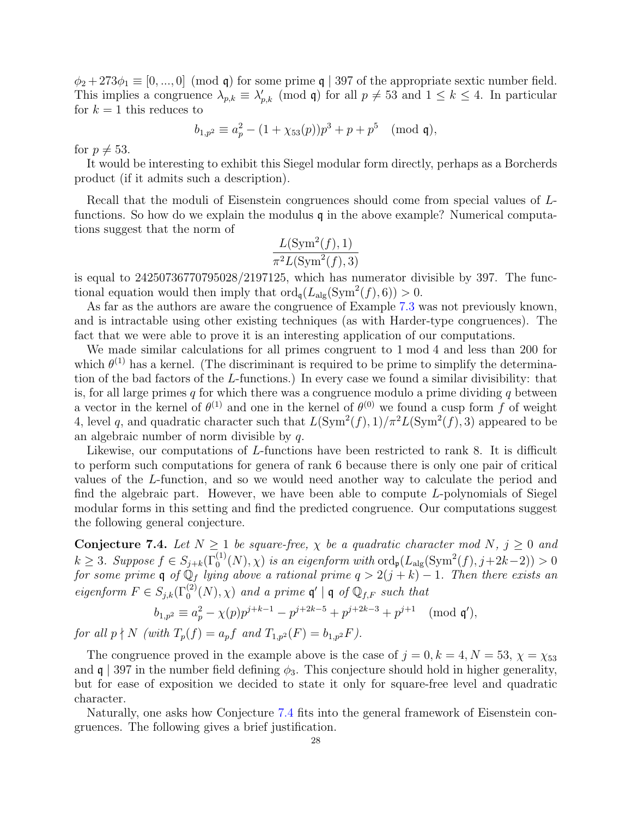$\phi_2 + 273\phi_1 \equiv [0, ..., 0] \pmod{q}$  for some prime q | 397 of the appropriate sextic number field. This implies a congruence  $\lambda_{p,k} \equiv \lambda'_{p,k} \pmod{q}$  for all  $p \neq 53$  and  $1 \leq k \leq 4$ . In particular for  $k = 1$  this reduces to

$$
b_{1,p^2} \equiv a_p^2 - (1 + \chi_{53}(p))p^3 + p + p^5 \pmod{\mathfrak{q}},
$$

for  $p \neq 53$ .

It would be interesting to exhibit this Siegel modular form directly, perhaps as a Borcherds product (if it admits such a description).

Recall that the moduli of Eisenstein congruences should come from special values of Lfunctions. So how do we explain the modulus  $q$  in the above example? Numerical computations suggest that the norm of

$$
\frac{L(\text{Sym}^2(f), 1)}{\pi^2 L(\text{Sym}^2(f), 3)}
$$

is equal to 24250736770795028/2197125, which has numerator divisible by 397. The functional equation would then imply that  $\text{ord}_{\mathfrak{q}}(L_{\text{alg}}(\text{Sym}^2(f), 6)) > 0$ .

As far as the authors are aware the congruence of Example [7.3](#page-26-1) was not previously known, and is intractable using other existing techniques (as with Harder-type congruences). The fact that we were able to prove it is an interesting application of our computations.

We made similar calculations for all primes congruent to 1 mod 4 and less than 200 for which  $\theta^{(1)}$  has a kernel. (The discriminant is required to be prime to simplify the determination of the bad factors of the L-functions.) In every case we found a similar divisibility: that is, for all large primes q for which there was a congruence modulo a prime dividing q between a vector in the kernel of  $\theta^{(1)}$  and one in the kernel of  $\theta^{(0)}$  we found a cusp form f of weight 4, level q, and quadratic character such that  $L(\text{Sym}^2(f), 1)/\pi^2 L(\text{Sym}^2(f), 3)$  appeared to be an algebraic number of norm divisible by q.

Likewise, our computations of L-functions have been restricted to rank 8. It is difficult to perform such computations for genera of rank 6 because there is only one pair of critical values of the L-function, and so we would need another way to calculate the period and find the algebraic part. However, we have been able to compute L-polynomials of Siegel modular forms in this setting and find the predicted congruence. Our computations suggest the following general conjecture.

<span id="page-27-0"></span>Conjecture 7.4. Let  $N \geq 1$  be square-free,  $\chi$  be a quadratic character mod N,  $j \geq 0$  and  $k \geq 3$ . Suppose  $f \in S_{j+k}(\Gamma_0^{(1)}(N), \chi)$  is an eigenform with  $\text{ord}_{\mathfrak{p}}(L_{\text{alg}}(\text{Sym}^2(f), j+2k-2)) > 0$ for some prime q of  $\mathbb{Q}_f$  lying above a rational prime  $q > 2(j+k) - 1$ . Then there exists an eigenform  $F \in S_{j,k}(\Gamma_0^{(2)}(N), \chi)$  and a prime  $\mathfrak{q}' | \mathfrak{q}$  of  $\mathbb{Q}_{f,F}$  such that

$$
b_{1,p^2} \equiv a_p^2 - \chi(p)p^{j+k-1} - p^{j+2k-5} + p^{j+2k-3} + p^{j+1} \pmod{\mathfrak{q}'},
$$

for all  $p \nmid N$  (with  $T_p(f) = a_p f$  and  $T_{1,p^2}(F) = b_{1,p^2} F$ ).

The congruence proved in the example above is the case of  $j = 0, k = 4, N = 53, \chi = \chi_{53}$ and  $\mathfrak{q} \mid 397$  in the number field defining  $\phi_3$ . This conjecture should hold in higher generality, but for ease of exposition we decided to state it only for square-free level and quadratic character.

Naturally, one asks how Conjecture [7.4](#page-27-0) fits into the general framework of Eisenstein congruences. The following gives a brief justification.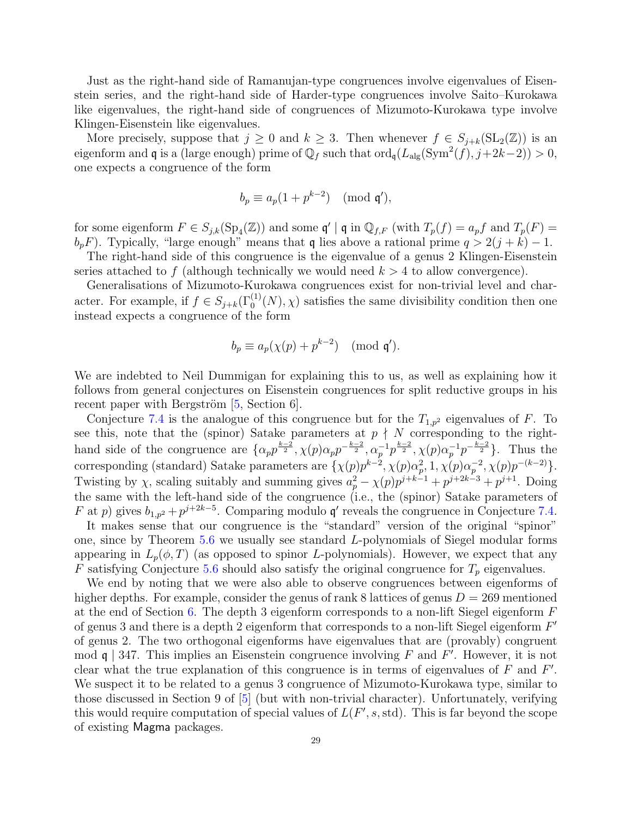Just as the right-hand side of Ramanujan-type congruences involve eigenvalues of Eisenstein series, and the right-hand side of Harder-type congruences involve Saito–Kurokawa like eigenvalues, the right-hand side of congruences of Mizumoto-Kurokawa type involve Klingen-Eisenstein like eigenvalues.

More precisely, suppose that  $j \geq 0$  and  $k \geq 3$ . Then whenever  $f \in S_{j+k}(\mathrm{SL}_2(\mathbb{Z}))$  is an eigenform and **q** is a (large enough) prime of  $\mathbb{Q}_f$  such that  $\text{ord}_{\mathfrak{q}}(L_{\text{alg}}(\text{Sym}^2(f), j+2k-2)) > 0$ , one expects a congruence of the form

$$
b_p \equiv a_p(1 + p^{k-2}) \pmod{\mathfrak{q}'},
$$

for some eigenform  $F \in S_{j,k}(\mathrm{Sp}_4(\mathbb{Z}))$  and some  $\mathfrak{q}' \mid \mathfrak{q}$  in  $\mathbb{Q}_{f,F}$  (with  $T_p(f) = a_p f$  and  $T_p(F) = a_p f$  $b_p$ . Typically, "large enough" means that q lies above a rational prime  $q > 2(j + k) - 1$ .

The right-hand side of this congruence is the eigenvalue of a genus 2 Klingen-Eisenstein series attached to f (although technically we would need  $k > 4$  to allow convergence).

Generalisations of Mizumoto-Kurokawa congruences exist for non-trivial level and character. For example, if  $f \in S_{j+k}(\Gamma_0^{(1)}(N), \chi)$  satisfies the same divisibility condition then one instead expects a congruence of the form

$$
b_p \equiv a_p(\chi(p) + p^{k-2}) \pmod{\mathfrak{q}}.
$$

We are indebted to Neil Dummigan for explaining this to us, as well as explaining how it follows from general conjectures on Eisenstein congruences for split reductive groups in his recent paper with Bergström  $[5, Section 6]$ .

Conjecture [7.4](#page-27-0) is the analogue of this congruence but for the  $T_{1,p^2}$  eigenvalues of F. To see this, note that the (spinor) Satake parameters at  $p \nmid N$  corresponding to the righthand side of the congruence are  $\{\alpha_p p^{\frac{k-2}{2}}, \chi(p)\alpha_p p^{-\frac{k-2}{2}}, \alpha_p^{-1} p^{\frac{k-2}{2}}, \chi(p)\alpha_p^{-1} p^{-\frac{k-2}{2}}\}$ . Thus the corresponding (standard) Satake parameters are  $\{\chi(p)p^{k-2}, \chi(p)\alpha_p^2, 1, \chi(p)\alpha_p^{-2}, \chi(p)p^{-(k-2)}\}.$ Twisting by  $\chi$ , scaling suitably and summing gives  $a_p^2 - \chi(p)p^{j+k-1} + p^{j+2k-3} + p^{j+1}$ . Doing the same with the left-hand side of the congruence (i.e., the (spinor) Satake parameters of F at p) gives  $b_{1,p^2} + p^{j+2k-5}$ . Comparing modulo q' reveals the congruence in Conjecture [7.4.](#page-27-0) It makes sense that our congruence is the "standard" version of the original "spinor"

one, since by Theorem [5.6](#page-16-0) we usually see standard L-polynomials of Siegel modular forms appearing in  $L_p(\phi, T)$  (as opposed to spinor L-polynomials). However, we expect that any F satisfying Conjecture [5.6](#page-16-0) should also satisfy the original congruence for  $T_p$  eigenvalues.

We end by noting that we were also able to observe congruences between eigenforms of higher depths. For example, consider the genus of rank 8 lattices of genus  $D = 269$  mentioned at the end of Section [6.](#page-18-0) The depth 3 eigenform corresponds to a non-lift Siegel eigenform  $F$ of genus 3 and there is a depth 2 eigenform that corresponds to a non-lift Siegel eigenform  $F'$ of genus 2. The two orthogonal eigenforms have eigenvalues that are (provably) congruent mod  $\mathfrak{q}$  | 347. This implies an Eisenstein congruence involving F and F'. However, it is not clear what the true explanation of this congruence is in terms of eigenvalues of  $F$  and  $F'$ . We suspect it to be related to a genus 3 congruence of Mizumoto-Kurokawa type, similar to those discussed in Section 9 of [\[5\]](#page-29-6) (but with non-trivial character). Unfortunately, verifying this would require computation of special values of  $L(F', s, std)$ . This is far beyond the scope of existing Magma packages.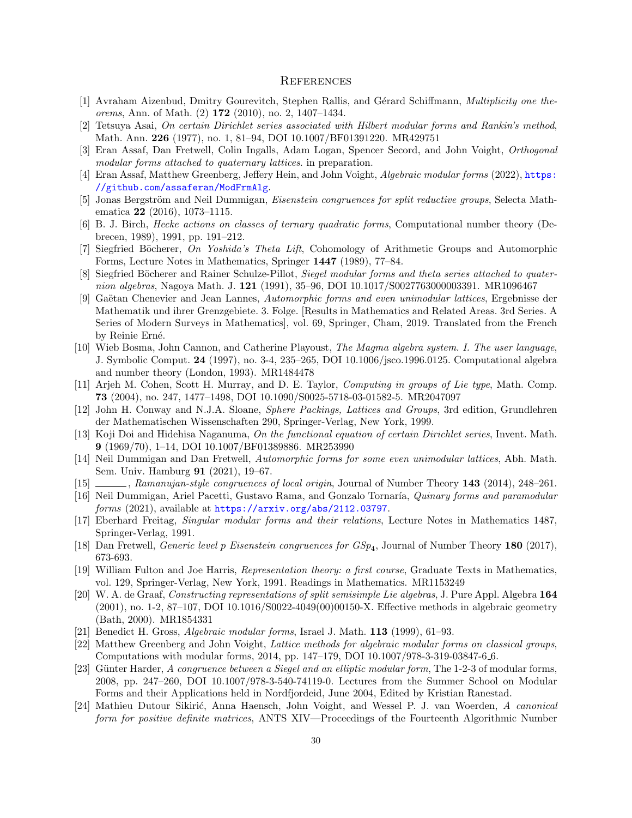### <span id="page-29-0"></span>**REFERENCES**

- <span id="page-29-13"></span>[1] Avraham Aizenbud, Dmitry Gourevitch, Stephen Rallis, and Gérard Schiffmann, Multiplicity one theorems, Ann. of Math. (2) 172 (2010), no. 2, 1407–1434.
- <span id="page-29-17"></span>[2] Tetsuya Asai, On certain Dirichlet series associated with Hilbert modular forms and Rankin's method, Math. Ann. 226 (1977), no. 1, 81–94, DOI 10.1007/BF01391220. MR429751
- <span id="page-29-15"></span>[3] Eran Assaf, Dan Fretwell, Colin Ingalls, Adam Logan, Spencer Secord, and John Voight, Orthogonal modular forms attached to quaternary lattices. in preparation.
- <span id="page-29-5"></span>[4] Eran Assaf, Matthew Greenberg, Jeffery Hein, and John Voight, Algebraic modular forms (2022), [https:](https://github.com/assaferan/ModFrmAlg) [//github.com/assaferan/ModFrmAlg](https://github.com/assaferan/ModFrmAlg).
- <span id="page-29-6"></span>[5] Jonas Bergström and Neil Dummigan, *Eisenstein congruences for split reductive groups*, Selecta Mathematica 22 (2016), 1073–1115.
- <span id="page-29-1"></span>[6] B. J. Birch, Hecke actions on classes of ternary quadratic forms, Computational number theory (Debrecen, 1989), 1991, pp. 191–212.
- <span id="page-29-19"></span>[7] Siegfried Böcherer, On Yoshida's Theta Lift, Cohomology of Arithmetic Groups and Automorphic Forms, Lecture Notes in Mathematics, Springer 1447 (1989), 77–84.
- <span id="page-29-16"></span>[8] Siegfried Böcherer and Rainer Schulze-Pillot, Siegel modular forms and theta series attached to quaternion algebras, Nagoya Math. J. 121 (1991), 35–96, DOI 10.1017/S0027763000003391. MR1096467
- <span id="page-29-3"></span>[9] Gaëtan Chenevier and Jean Lannes, Automorphic forms and even unimodular lattices, Ergebnisse der Mathematik und ihrer Grenzgebiete. 3. Folge. [Results in Mathematics and Related Areas. 3rd Series. A Series of Modern Surveys in Mathematics], vol. 69, Springer, Cham, 2019. Translated from the French by Reinie Erné.
- <span id="page-29-9"></span>[10] Wieb Bosma, John Cannon, and Catherine Playoust, The Magma algebra system. I. The user language, J. Symbolic Comput. 24 (1997), no. 3-4, 235–265, DOI 10.1006/jsco.1996.0125. Computational algebra and number theory (London, 1993). MR1484478
- <span id="page-29-11"></span>[11] Arjeh M. Cohen, Scott H. Murray, and D. E. Taylor, Computing in groups of Lie type, Math. Comp. 73 (2004), no. 247, 1477–1498, DOI 10.1090/S0025-5718-03-01582-5. MR2047097
- <span id="page-29-20"></span>[12] John H. Conway and N.J.A. Sloane, Sphere Packings, Lattices and Groups, 3rd edition, Grundlehren der Mathematischen Wissenschaften 290, Springer-Verlag, New York, 1999.
- <span id="page-29-18"></span>[13] Koji Doi and Hidehisa Naganuma, On the functional equation of certain Dirichlet series, Invent. Math. 9 (1969/70), 1–14, DOI 10.1007/BF01389886. MR253990
- <span id="page-29-23"></span>[14] Neil Dummigan and Dan Fretwell, Automorphic forms for some even unimodular lattices, Abh. Math. Sem. Univ. Hamburg 91 (2021), 19–67.
- <span id="page-29-22"></span>[15] , Ramanujan-style congruences of local origin, Journal of Number Theory 143 (2014), 248–261.
- <span id="page-29-2"></span>[16] Neil Dummigan, Ariel Pacetti, Gustavo Rama, and Gonzalo Tornaría, *Quinary forms and paramodular* forms (2021), available at <https://arxiv.org/abs/2112.03797>.
- <span id="page-29-21"></span>[17] Eberhard Freitag, Singular modular forms and their relations, Lecture Notes in Mathematics 1487, Springer-Verlag, 1991.
- <span id="page-29-24"></span>[18] Dan Fretwell, *Generic level p Eisenstein congruences for*  $GSp_4$ , Journal of Number Theory 180 (2017), 673-693.
- <span id="page-29-10"></span>[19] William Fulton and Joe Harris, Representation theory: a first course, Graduate Texts in Mathematics, vol. 129, Springer-Verlag, New York, 1991. Readings in Mathematics. MR1153249
- <span id="page-29-12"></span>[20] W. A. de Graaf, Constructing representations of split semisimple Lie algebras, J. Pure Appl. Algebra 164 (2001), no. 1-2, 87–107, DOI 10.1016/S0022-4049(00)00150-X. Effective methods in algebraic geometry (Bath, 2000). MR1854331
- <span id="page-29-8"></span>[21] Benedict H. Gross, Algebraic modular forms, Israel J. Math. 113 (1999), 61–93.
- <span id="page-29-7"></span>[22] Matthew Greenberg and John Voight, Lattice methods for algebraic modular forms on classical groups, Computations with modular forms, 2014, pp. 147–179, DOI 10.1007/978-3-319-03847-6 6.
- <span id="page-29-4"></span>[23] Günter Harder, A congruence between a Siegel and an elliptic modular form, The 1-2-3 of modular forms, 2008, pp. 247–260, DOI 10.1007/978-3-540-74119-0. Lectures from the Summer School on Modular Forms and their Applications held in Nordfjordeid, June 2004, Edited by Kristian Ranestad.
- <span id="page-29-14"></span>[24] Mathieu Dutour Sikirić, Anna Haensch, John Voight, and Wessel P. J. van Woerden, A canonical form for positive definite matrices, ANTS XIV—Proceedings of the Fourteenth Algorithmic Number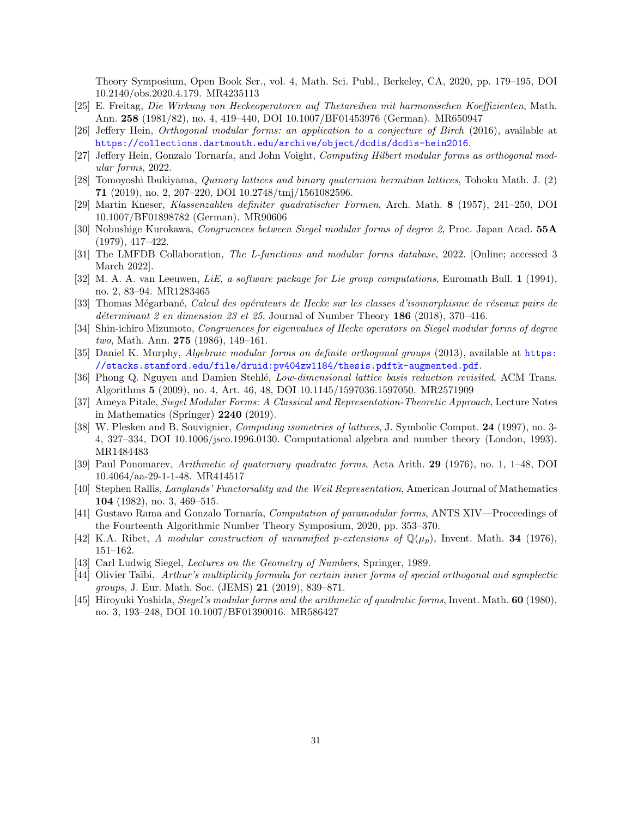Theory Symposium, Open Book Ser., vol. 4, Math. Sci. Publ., Berkeley, CA, 2020, pp. 179–195, DOI 10.2140/obs.2020.4.179. MR4235113

- <span id="page-30-15"></span>[25] E. Freitag, Die Wirkung von Heckeoperatoren auf Thetareihen mit harmonischen Koeffizienten, Math. Ann. 258 (1981/82), no. 4, 419–440, DOI 10.1007/BF01453976 (German). MR650947
- <span id="page-30-0"></span>[26] Jeffery Hein, Orthogonal modular forms: an application to a conjecture of Birch (2016), available at <https://collections.dartmouth.edu/archive/object/dcdis/dcdis-hein2016>.
- <span id="page-30-1"></span>[27] Jeffery Hein, Gonzalo Tornaría, and John Voight, Computing Hilbert modular forms as orthogonal modular forms, 2022.
- <span id="page-30-3"></span>[28] Tomoyoshi Ibukiyama, Quinary lattices and binary quaternion hermitian lattices, Tohoku Math. J. (2) 71 (2019), no. 2, 207–220, DOI 10.2748/tmj/1561082596.
- <span id="page-30-7"></span>[29] Martin Kneser, Klassenzahlen definiter quadratischer Formen, Arch. Math. 8 (1957), 241–250, DOI 10.1007/BF01898782 (German). MR90606
- <span id="page-30-18"></span>[30] Nobushige Kurokawa, Congruences between Siegel modular forms of degree 2, Proc. Japan Acad. 55A (1979), 417–422.
- <span id="page-30-5"></span>[31] The LMFDB Collaboration, The L-functions and modular forms database, 2022. [Online; accessed 3 March 2022].
- <span id="page-30-10"></span>[32] M. A. A. van Leeuwen, LiE, a software package for Lie group computations, Euromath Bull. 1 (1994), no. 2, 83–94. MR1283465
- <span id="page-30-4"></span>[33] Thomas Mégarbané, Calcul des opérateurs de Hecke sur les classes d'isomorphisme de réseaux pairs de déterminant 2 en dimension 23 et 25, Journal of Number Theory 186 (2018), 370–416.
- <span id="page-30-19"></span>[34] Shin-ichiro Mizumoto, Congruences for eigenvalues of Hecke operators on Siegel modular forms of degree two, Math. Ann. 275 (1986), 149–161.
- <span id="page-30-8"></span>[35] Daniel K. Murphy, *Algebraic modular forms on definite orthogonal groups* (2013), available at [https:](https://stacks.stanford.edu/file/druid:pv404zw1184/thesis.pdftk-augmented.pdf) [//stacks.stanford.edu/file/druid:pv404zw1184/thesis.pdftk-augmented.pdf](https://stacks.stanford.edu/file/druid:pv404zw1184/thesis.pdftk-augmented.pdf).
- <span id="page-30-11"></span>[36] Phong Q. Nguyen and Damien Stehlé, Low-dimensional lattice basis reduction revisited, ACM Trans. Algorithms 5 (2009), no. 4, Art. 46, 48, DOI 10.1145/1597036.1597050. MR2571909
- <span id="page-30-13"></span>[37] Ameya Pitale, Siegel Modular Forms: A Classical and Representation-Theoretic Approach, Lecture Notes in Mathematics (Springer) 2240 (2019).
- <span id="page-30-9"></span>[38] W. Plesken and B. Souvignier, Computing isometries of lattices, J. Symbolic Comput. 24 (1997), no. 3- 4, 327–334, DOI 10.1006/jsco.1996.0130. Computational algebra and number theory (London, 1993). MR1484483
- <span id="page-30-12"></span>[39] Paul Ponomarev, Arithmetic of quaternary quadratic forms, Acta Arith. 29 (1976), no. 1, 1–48, DOI 10.4064/aa-29-1-1-48. MR414517
- <span id="page-30-14"></span>[40] Stephen Rallis, Langlands' Functoriality and the Weil Representation, American Journal of Mathematics 104 (1982), no. 3, 469–515.
- <span id="page-30-2"></span>[41] Gustavo Rama and Gonzalo Tornaría, Computation of paramodular forms, ANTS XIV—Proceedings of the Fourteenth Algorithmic Number Theory Symposium, 2020, pp. 353–370.
- <span id="page-30-17"></span>[42] K.A. Ribet, A modular construction of unramified p-extensions of  $\mathbb{Q}(\mu_p)$ , Invent. Math. 34 (1976), 151–162.
- <span id="page-30-6"></span>[43] Carl Ludwig Siegel, *Lectures on the Geometry of Numbers*, Springer, 1989.
- <span id="page-30-16"></span>[44] Olivier Taïbi, Arthur's multiplicity formula for certain inner forms of special orthogonal and symplectic groups, J. Eur. Math. Soc. (JEMS) 21 (2019), 839–871.
- [45] Hiroyuki Yoshida, Siegel's modular forms and the arithmetic of quadratic forms, Invent. Math. 60 (1980), no. 3, 193–248, DOI 10.1007/BF01390016. MR586427